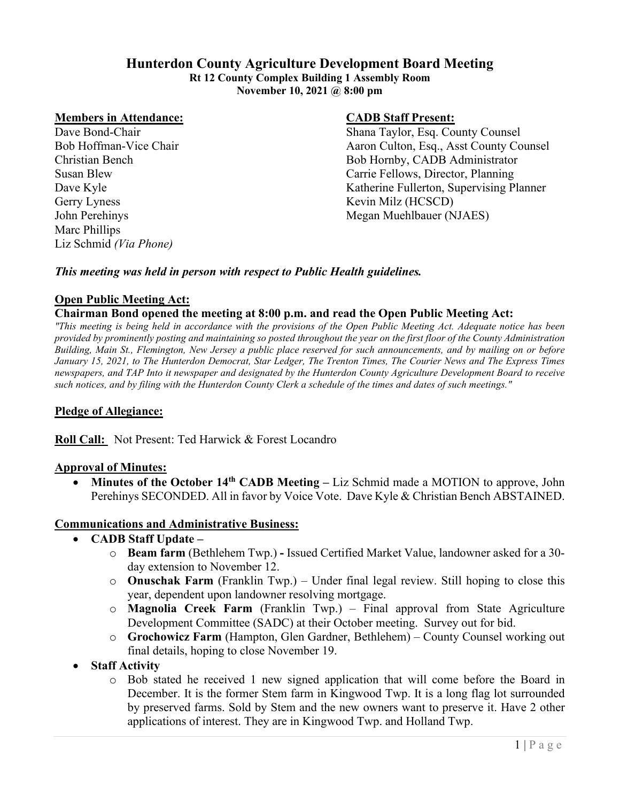### **Hunterdon County Agriculture Development Board Meeting**

**Rt 12 County Complex Building 1 Assembly Room November 10, 2021 @ 8:00 pm**

### **Members in Attendance: CADB Staff Present:**

Gerry Lyness Kevin Milz (HCSCD) Marc Phillips Liz Schmid *(Via Phone)*

Dave Bond-Chair Shana Taylor, Esq. County Counsel Bob Hoffman-Vice Chair Aaron Culton, Esq., Asst County Counsel Christian Bench Bob Hornby, CADB Administrator Susan Blew Carrie Fellows, Director, Planning Dave Kyle Katherine Fullerton, Supervising Planner John Perehinys Megan Muehlbauer (NJAES)

### *This meeting was held in person with respect to Public Health guidelines.*

### **Open Public Meeting Act:**

### **Chairman Bond opened the meeting at 8:00 p.m. and read the Open Public Meeting Act:**

*"This meeting is being held in accordance with the provisions of the Open Public Meeting Act. Adequate notice has been provided by prominently posting and maintaining so posted throughout the year on the first floor of the County Administration Building, Main St., Flemington, New Jersey a public place reserved for such announcements, and by mailing on or before January 15, 2021, to The Hunterdon Democrat, Star Ledger, The Trenton Times, The Courier News and The Express Times newspapers, and TAP Into it newspaper and designated by the Hunterdon County Agriculture Development Board to receive such notices, and by filing with the Hunterdon County Clerk a schedule of the times and dates of such meetings."*

### **Pledge of Allegiance:**

**Roll Call:** Not Present: Ted Harwick & Forest Locandro

#### **Approval of Minutes:**

• **Minutes of the October 14th CADB Meeting –** Liz Schmid made a MOTION to approve, John Perehinys SECONDED. All in favor by Voice Vote. Dave Kyle & Christian Bench ABSTAINED.

#### **Communications and Administrative Business:**

- **CADB Staff Update –**
	- o **Beam farm** (Bethlehem Twp.) **-** Issued Certified Market Value, landowner asked for a 30 day extension to November 12.
	- o **Onuschak Farm** (Franklin Twp.) Under final legal review. Still hoping to close this year, dependent upon landowner resolving mortgage.
	- o **Magnolia Creek Farm** (Franklin Twp.) Final approval from State Agriculture Development Committee (SADC) at their October meeting. Survey out for bid.
	- o **Grochowicz Farm** (Hampton, Glen Gardner, Bethlehem) County Counsel working out final details, hoping to close November 19.
- **Staff Activity** 
	- o Bob stated he received 1 new signed application that will come before the Board in December. It is the former Stem farm in Kingwood Twp. It is a long flag lot surrounded by preserved farms. Sold by Stem and the new owners want to preserve it. Have 2 other applications of interest. They are in Kingwood Twp. and Holland Twp.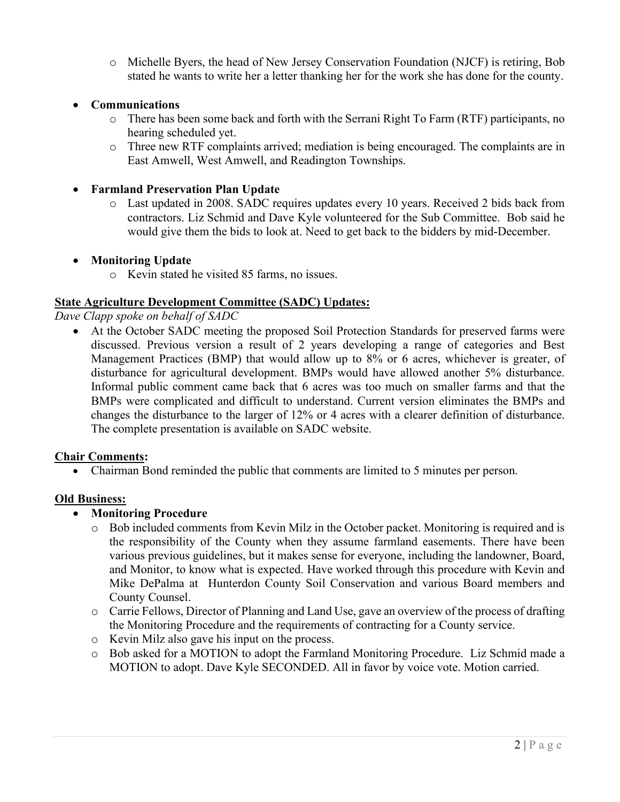o Michelle Byers, the head of New Jersey Conservation Foundation (NJCF) is retiring, Bob stated he wants to write her a letter thanking her for the work she has done for the county.

### • **Communications**

- o There has been some back and forth with the Serrani Right To Farm (RTF) participants, no hearing scheduled yet.
- o Three new RTF complaints arrived; mediation is being encouraged. The complaints are in East Amwell, West Amwell, and Readington Townships.

### • **Farmland Preservation Plan Update**

o Last updated in 2008. SADC requires updates every 10 years. Received 2 bids back from contractors. Liz Schmid and Dave Kyle volunteered for the Sub Committee. Bob said he would give them the bids to look at. Need to get back to the bidders by mid-December.

### • **Monitoring Update**

o Kevin stated he visited 85 farms, no issues.

### **State Agriculture Development Committee (SADC) Updates:**

*Dave Clapp spoke on behalf of SADC*

• At the October SADC meeting the proposed Soil Protection Standards for preserved farms were discussed. Previous version a result of 2 years developing a range of categories and Best Management Practices (BMP) that would allow up to 8% or 6 acres, whichever is greater, of disturbance for agricultural development. BMPs would have allowed another 5% disturbance. Informal public comment came back that 6 acres was too much on smaller farms and that the BMPs were complicated and difficult to understand. Current version eliminates the BMPs and changes the disturbance to the larger of 12% or 4 acres with a clearer definition of disturbance. The complete presentation is available on SADC website.

### **Chair Comments:**

• Chairman Bond reminded the public that comments are limited to 5 minutes per person.

### **Old Business:**

### • **Monitoring Procedure**

- o Bob included comments from Kevin Milz in the October packet. Monitoring is required and is the responsibility of the County when they assume farmland easements. There have been various previous guidelines, but it makes sense for everyone, including the landowner, Board, and Monitor, to know what is expected. Have worked through this procedure with Kevin and Mike DePalma at Hunterdon County Soil Conservation and various Board members and County Counsel.
- o Carrie Fellows, Director of Planning and Land Use, gave an overview of the process of drafting the Monitoring Procedure and the requirements of contracting for a County service.
- o Kevin Milz also gave his input on the process.
- o Bob asked for a MOTION to adopt the Farmland Monitoring Procedure. Liz Schmid made a MOTION to adopt. Dave Kyle SECONDED. All in favor by voice vote. Motion carried.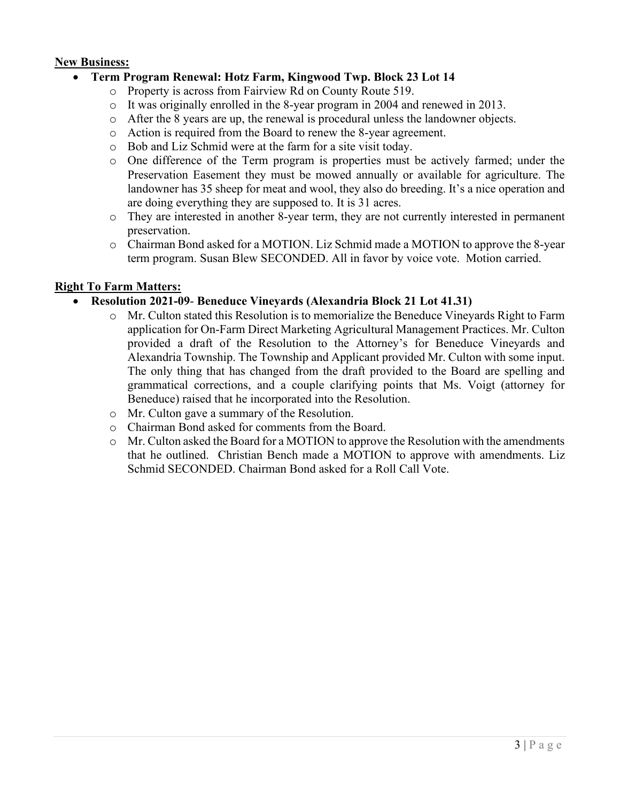### **New Business:**

### • **Term Program Renewal: Hotz Farm, Kingwood Twp. Block 23 Lot 14**

- o Property is across from Fairview Rd on County Route 519.
- o It was originally enrolled in the 8-year program in 2004 and renewed in 2013.
- o After the 8 years are up, the renewal is procedural unless the landowner objects.
- o Action is required from the Board to renew the 8-year agreement.
- o Bob and Liz Schmid were at the farm for a site visit today.
- o One difference of the Term program is properties must be actively farmed; under the Preservation Easement they must be mowed annually or available for agriculture. The landowner has 35 sheep for meat and wool, they also do breeding. It's a nice operation and are doing everything they are supposed to. It is 31 acres.
- o They are interested in another 8-year term, they are not currently interested in permanent preservation.
- o Chairman Bond asked for a MOTION. Liz Schmid made a MOTION to approve the 8-year term program. Susan Blew SECONDED. All in favor by voice vote. Motion carried.

### **Right To Farm Matters:**

### • **Resolution 2021-09**- **Beneduce Vineyards (Alexandria Block 21 Lot 41.31)**

- $\circ$  Mr. Culton stated this Resolution is to memorialize the Beneduce Vineyards Right to Farm application for On-Farm Direct Marketing Agricultural Management Practices. Mr. Culton provided a draft of the Resolution to the Attorney's for Beneduce Vineyards and Alexandria Township. The Township and Applicant provided Mr. Culton with some input. The only thing that has changed from the draft provided to the Board are spelling and grammatical corrections, and a couple clarifying points that Ms. Voigt (attorney for Beneduce) raised that he incorporated into the Resolution.
- o Mr. Culton gave a summary of the Resolution.
- o Chairman Bond asked for comments from the Board.
- o Mr. Culton asked the Board for a MOTION to approve the Resolution with the amendments that he outlined. Christian Bench made a MOTION to approve with amendments. Liz Schmid SECONDED. Chairman Bond asked for a Roll Call Vote.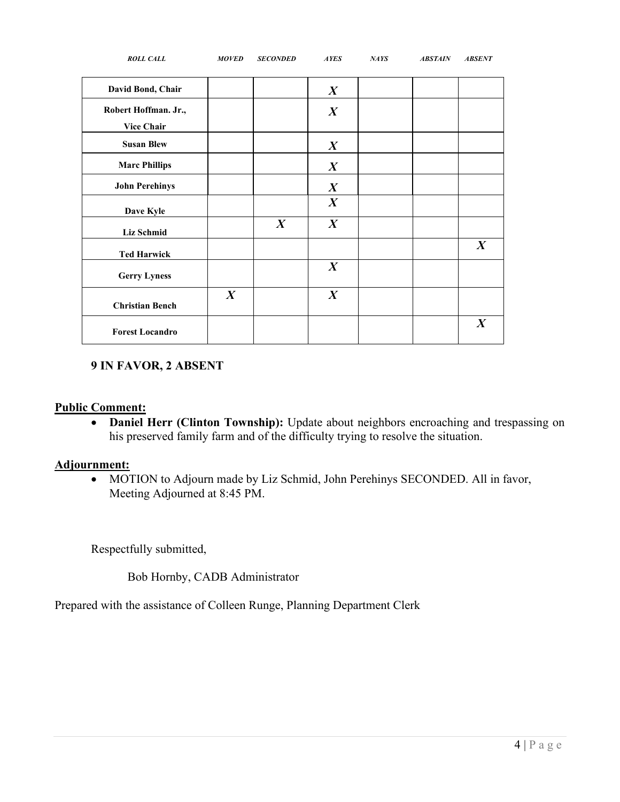| <b>ROLL CALL</b>                          | <b>MOVED</b>     | <b>SECONDED</b>  | <b>AYES</b>      | <b>NAYS</b> | <b>ABSTAIN</b> | <b>ABSENT</b>    |
|-------------------------------------------|------------------|------------------|------------------|-------------|----------------|------------------|
| David Bond, Chair                         |                  |                  | $\boldsymbol{X}$ |             |                |                  |
| Robert Hoffman. Jr.,<br><b>Vice Chair</b> |                  |                  | $\boldsymbol{X}$ |             |                |                  |
| <b>Susan Blew</b>                         |                  |                  | $\boldsymbol{X}$ |             |                |                  |
| <b>Marc Phillips</b>                      |                  |                  | $\boldsymbol{X}$ |             |                |                  |
| <b>John Perehinys</b>                     |                  |                  | $\boldsymbol{X}$ |             |                |                  |
| Dave Kyle                                 |                  |                  | $\boldsymbol{X}$ |             |                |                  |
| <b>Liz Schmid</b>                         |                  | $\boldsymbol{X}$ | $\boldsymbol{X}$ |             |                |                  |
| <b>Ted Harwick</b>                        |                  |                  |                  |             |                | $\boldsymbol{X}$ |
| <b>Gerry Lyness</b>                       |                  |                  | $\boldsymbol{X}$ |             |                |                  |
| <b>Christian Bench</b>                    | $\boldsymbol{X}$ |                  | $\boldsymbol{X}$ |             |                |                  |
| <b>Forest Locandro</b>                    |                  |                  |                  |             |                | $\boldsymbol{X}$ |

### **9 IN FAVOR, 2 ABSENT**

### **Public Comment:**

• **Daniel Herr (Clinton Township):** Update about neighbors encroaching and trespassing on his preserved family farm and of the difficulty trying to resolve the situation.

### **Adjournment:**

• MOTION to Adjourn made by Liz Schmid, John Perehinys SECONDED. All in favor, Meeting Adjourned at 8:45 PM.

Respectfully submitted,

Bob Hornby, CADB Administrator

Prepared with the assistance of Colleen Runge, Planning Department Clerk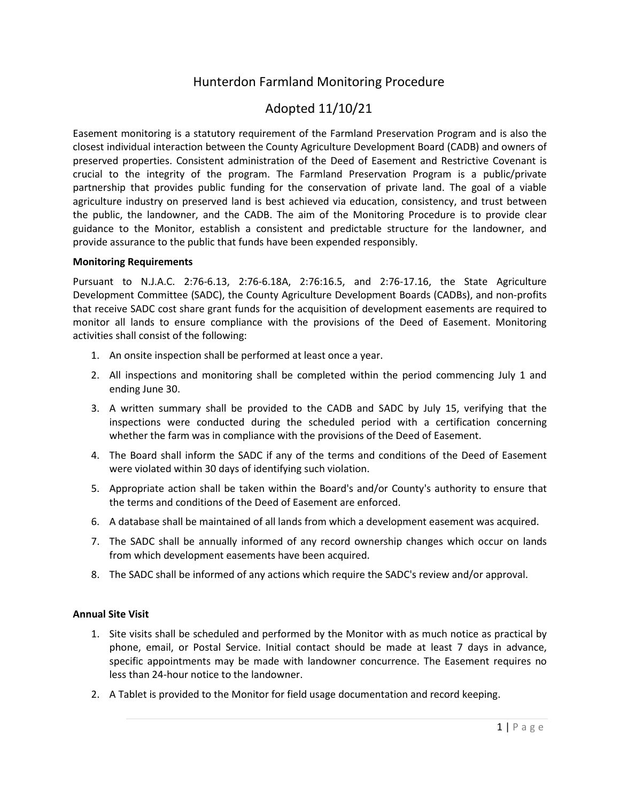## Hunterdon Farmland Monitoring Procedure

### Adopted 11/10/21

Easement monitoring is a statutory requirement of the Farmland Preservation Program and is also the closest individual interaction between the County Agriculture Development Board (CADB) and owners of preserved properties. Consistent administration of the Deed of Easement and Restrictive Covenant is crucial to the integrity of the program. The Farmland Preservation Program is a public/private partnership that provides public funding for the conservation of private land. The goal of a viable agriculture industry on preserved land is best achieved via education, consistency, and trust between the public, the landowner, and the CADB. The aim of the Monitoring Procedure is to provide clear guidance to the Monitor, establish a consistent and predictable structure for the landowner, and provide assurance to the public that funds have been expended responsibly.

#### **Monitoring Requirements**

Pursuant to N.J.A.C. 2:76-6.13, 2:76-6.18A, 2:76:16.5, and 2:76-17.16, the State Agriculture Development Committee (SADC), the County Agriculture Development Boards (CADBs), and non-profits that receive SADC cost share grant funds for the acquisition of development easements are required to monitor all lands to ensure compliance with the provisions of the Deed of Easement. Monitoring activities shall consist of the following:

- 1. An onsite inspection shall be performed at least once a year.
- 2. All inspections and monitoring shall be completed within the period commencing July 1 and ending June 30.
- 3. A written summary shall be provided to the CADB and SADC by July 15, verifying that the inspections were conducted during the scheduled period with a certification concerning whether the farm was in compliance with the provisions of the Deed of Easement.
- 4. The Board shall inform the SADC if any of the terms and conditions of the Deed of Easement were violated within 30 days of identifying such violation.
- 5. Appropriate action shall be taken within the Board's and/or County's authority to ensure that the terms and conditions of the Deed of Easement are enforced.
- 6. A database shall be maintained of all lands from which a development easement was acquired.
- 7. The SADC shall be annually informed of any record ownership changes which occur on lands from which development easements have been acquired.
- 8. The SADC shall be informed of any actions which require the SADC's review and/or approval.

#### **Annual Site Visit**

- 1. Site visits shall be scheduled and performed by the Monitor with as much notice as practical by phone, email, or Postal Service. Initial contact should be made at least 7 days in advance, specific appointments may be made with landowner concurrence. The Easement requires no less than 24-hour notice to the landowner.
- 2. A Tablet is provided to the Monitor for field usage documentation and record keeping.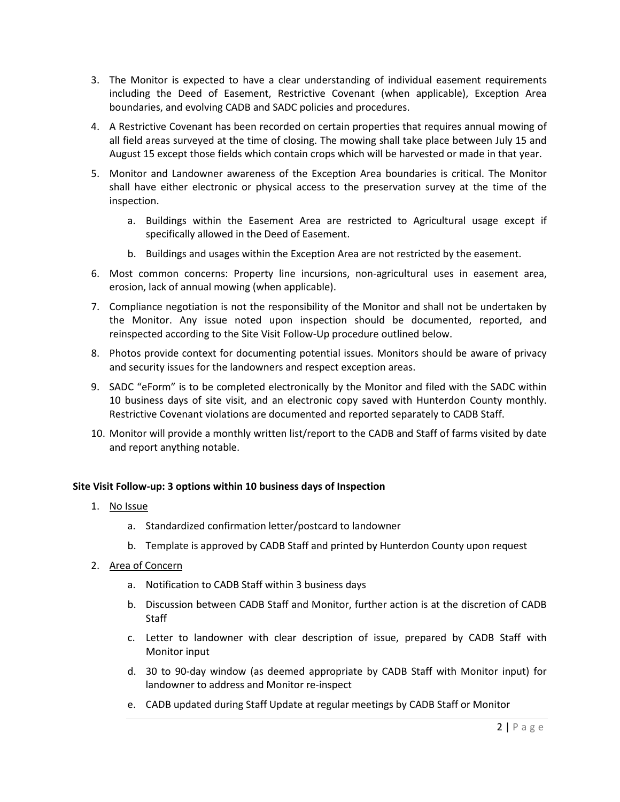- 3. The Monitor is expected to have a clear understanding of individual easement requirements including the Deed of Easement, Restrictive Covenant (when applicable), Exception Area boundaries, and evolving CADB and SADC policies and procedures.
- 4. A Restrictive Covenant has been recorded on certain properties that requires annual mowing of all field areas surveyed at the time of closing. The mowing shall take place between July 15 and August 15 except those fields which contain crops which will be harvested or made in that year.
- 5. Monitor and Landowner awareness of the Exception Area boundaries is critical. The Monitor shall have either electronic or physical access to the preservation survey at the time of the inspection.
	- a. Buildings within the Easement Area are restricted to Agricultural usage except if specifically allowed in the Deed of Easement.
	- b. Buildings and usages within the Exception Area are not restricted by the easement.
- 6. Most common concerns: Property line incursions, non-agricultural uses in easement area, erosion, lack of annual mowing (when applicable).
- 7. Compliance negotiation is not the responsibility of the Monitor and shall not be undertaken by the Monitor. Any issue noted upon inspection should be documented, reported, and reinspected according to the Site Visit Follow-Up procedure outlined below.
- 8. Photos provide context for documenting potential issues. Monitors should be aware of privacy and security issues for the landowners and respect exception areas.
- 9. SADC "eForm" is to be completed electronically by the Monitor and filed with the SADC within 10 business days of site visit, and an electronic copy saved with Hunterdon County monthly. Restrictive Covenant violations are documented and reported separately to CADB Staff.
- 10. Monitor will provide a monthly written list/report to the CADB and Staff of farms visited by date and report anything notable.

#### **Site Visit Follow-up: 3 options within 10 business days of Inspection**

- 1. No Issue
	- a. Standardized confirmation letter/postcard to landowner
	- b. Template is approved by CADB Staff and printed by Hunterdon County upon request
- 2. Area of Concern
	- a. Notification to CADB Staff within 3 business days
	- b. Discussion between CADB Staff and Monitor, further action is at the discretion of CADB **Staff**
	- c. Letter to landowner with clear description of issue, prepared by CADB Staff with Monitor input
	- d. 30 to 90-day window (as deemed appropriate by CADB Staff with Monitor input) for landowner to address and Monitor re-inspect
	- e. CADB updated during Staff Update at regular meetings by CADB Staff or Monitor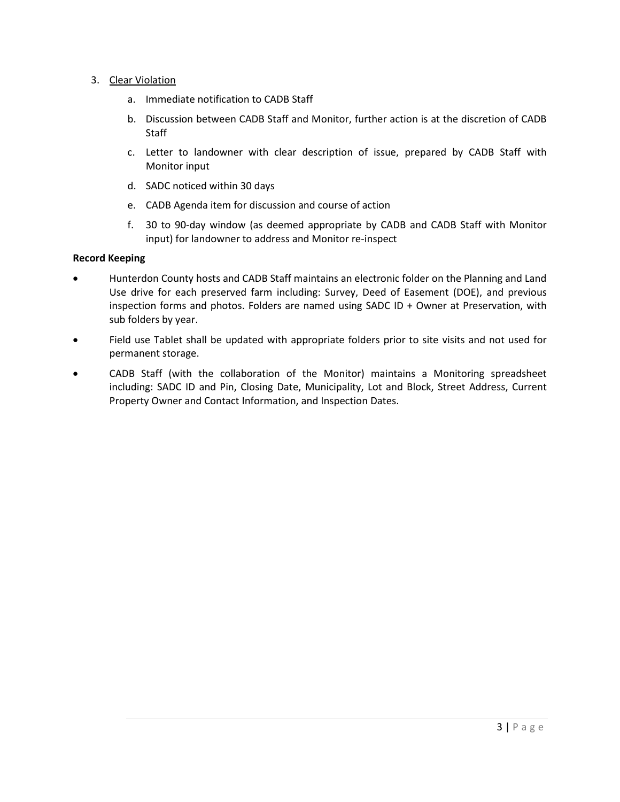- 3. Clear Violation
	- a. Immediate notification to CADB Staff
	- b. Discussion between CADB Staff and Monitor, further action is at the discretion of CADB Staff
	- c. Letter to landowner with clear description of issue, prepared by CADB Staff with Monitor input
	- d. SADC noticed within 30 days
	- e. CADB Agenda item for discussion and course of action
	- f. 30 to 90-day window (as deemed appropriate by CADB and CADB Staff with Monitor input) for landowner to address and Monitor re-inspect

#### **Record Keeping**

- Hunterdon County hosts and CADB Staff maintains an electronic folder on the Planning and Land Use drive for each preserved farm including: Survey, Deed of Easement (DOE), and previous inspection forms and photos. Folders are named using SADC ID + Owner at Preservation, with sub folders by year.
- Field use Tablet shall be updated with appropriate folders prior to site visits and not used for permanent storage.
- CADB Staff (with the collaboration of the Monitor) maintains a Monitoring spreadsheet including: SADC ID and Pin, Closing Date, Municipality, Lot and Block, Street Address, Current Property Owner and Contact Information, and Inspection Dates.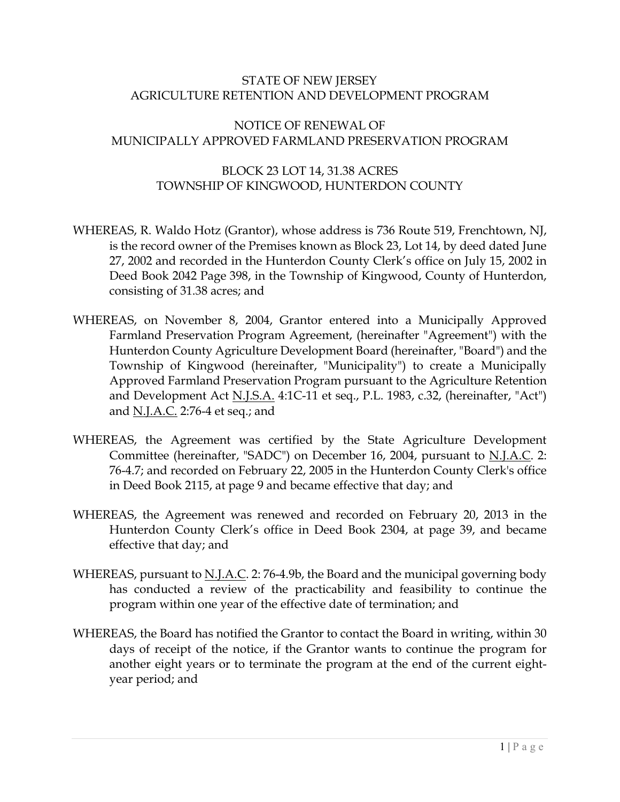### STATE OF NEW JERSEY AGRICULTURE RETENTION AND DEVELOPMENT PROGRAM

### NOTICE OF RENEWAL OF MUNICIPALLY APPROVED FARMLAND PRESERVATION PROGRAM

### BLOCK 23 LOT 14, 31.38 ACRES TOWNSHIP OF KINGWOOD, HUNTERDON COUNTY

- WHEREAS, R. Waldo Hotz (Grantor), whose address is 736 Route 519, Frenchtown, NJ, is the record owner of the Premises known as Block 23, Lot 14, by deed dated June 27, 2002 and recorded in the Hunterdon County Clerk's office on July 15, 2002 in Deed Book 2042 Page 398, in the Township of Kingwood, County of Hunterdon, consisting of 31.38 acres; and
- WHEREAS, on November 8, 2004, Grantor entered into a Municipally Approved Farmland Preservation Program Agreement, (hereinafter "Agreement") with the Hunterdon County Agriculture Development Board (hereinafter, "Board") and the Township of Kingwood (hereinafter, "Municipality") to create a Municipally Approved Farmland Preservation Program pursuant to the Agriculture Retention and Development Act N.J.S.A. 4:1C-11 et seq., P.L. 1983, c.32, (hereinafter, "Act") and N.J.A.C. 2:76-4 et seq.; and
- WHEREAS, the Agreement was certified by the State Agriculture Development Committee (hereinafter, "SADC") on December 16, 2004, pursuant to N.J.A.C. 2: 76-4.7; and recorded on February 22, 2005 in the Hunterdon County Clerk's office in Deed Book 2115, at page 9 and became effective that day; and
- WHEREAS, the Agreement was renewed and recorded on February 20, 2013 in the Hunterdon County Clerk's office in Deed Book 2304, at page 39, and became effective that day; and
- WHEREAS, pursuant to N.J.A.C. 2: 76-4.9b, the Board and the municipal governing body has conducted a review of the practicability and feasibility to continue the program within one year of the effective date of termination; and
- WHEREAS, the Board has notified the Grantor to contact the Board in writing, within 30 days of receipt of the notice, if the Grantor wants to continue the program for another eight years or to terminate the program at the end of the current eightyear period; and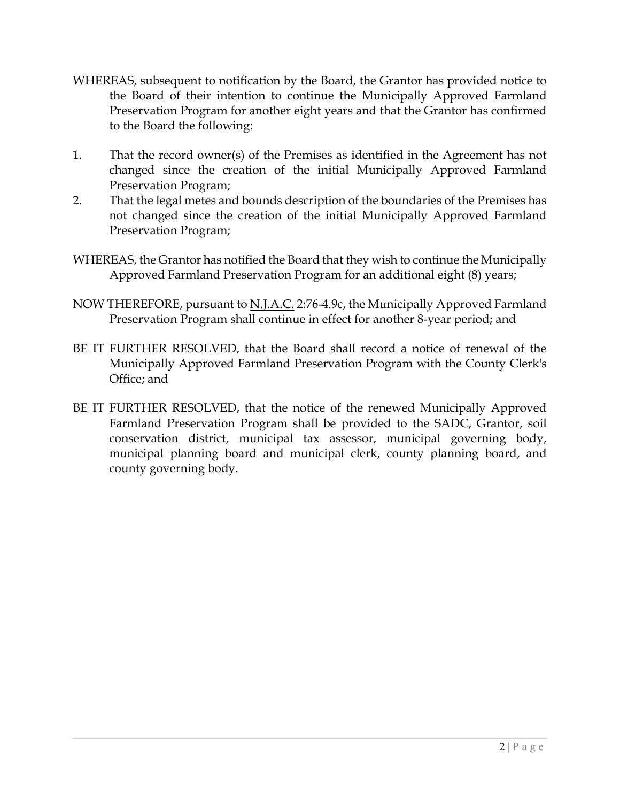- WHEREAS, subsequent to notification by the Board, the Grantor has provided notice to the Board of their intention to continue the Municipally Approved Farmland Preservation Program for another eight years and that the Grantor has confirmed to the Board the following:
- 1. That the record owner(s) of the Premises as identified in the Agreement has not changed since the creation of the initial Municipally Approved Farmland Preservation Program;
- 2. That the legal metes and bounds description of the boundaries of the Premises has not changed since the creation of the initial Municipally Approved Farmland Preservation Program;
- WHEREAS, the Grantor has notified the Board that they wish to continue the Municipally Approved Farmland Preservation Program for an additional eight (8) years;
- NOW THEREFORE, pursuant to <u>N.J.A.C.</u> 2:76-4.9c, the Municipally Approved Farmland Preservation Program shall continue in effect for another 8-year period; and
- BE IT FURTHER RESOLVED, that the Board shall record a notice of renewal of the Municipally Approved Farmland Preservation Program with the County Clerk's Office; and
- BE IT FURTHER RESOLVED, that the notice of the renewed Municipally Approved Farmland Preservation Program shall be provided to the SADC, Grantor, soil conservation district, municipal tax assessor, municipal governing body, municipal planning board and municipal clerk, county planning board, and county governing body.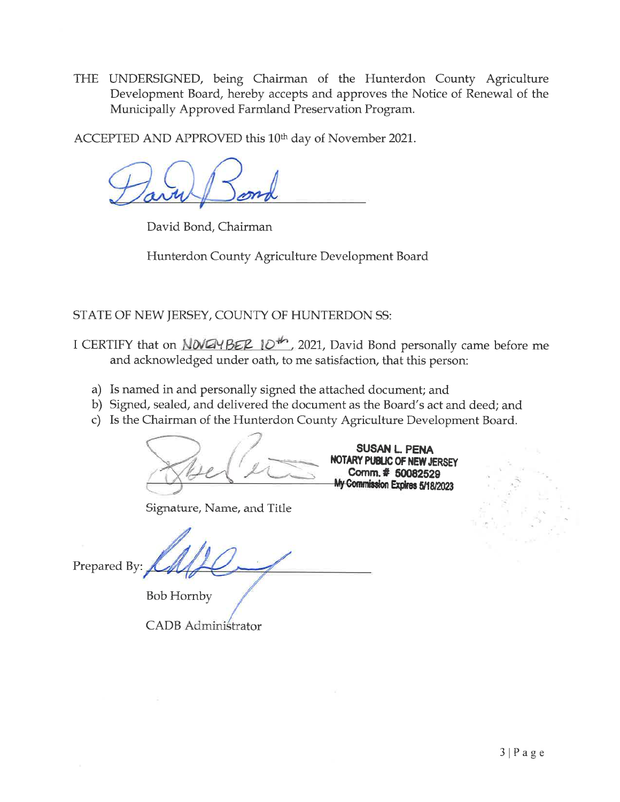THE UNDERSIGNED, being Chairman of the Hunterdon County Agriculture Development Board, hereby accepts and approves the Notice of Renewal of the Municipally Approved Farmland Preservation Program.

ACCEPTED AND APPROVED this 10<sup>th</sup> day of November 2021.

David Bond, Chairman

Hunterdon County Agriculture Development Board

STATE OF NEW JERSEY, COUNTY OF HUNTERDON SS:

- I CERTIFY that on *NOVEMBER* 10<sup>th</sup>, 2021, David Bond personally came before me and acknowledged under oath, to me satisfaction, that this person:
	- a) Is named in and personally signed the attached document; and
	- b) Signed, sealed, and delivered the document as the Board's act and deed; and
	- c) Is the Chairman of the Hunterdon County Agriculture Development Board.

Signature, Name, and Title

Prepared By:

**Bob Hornby** 

CADB Administrator

SUSAN L. PENA NOTARY PUBLIC OF NEW JERSEY Comm. # 50082529 My Commission Expires 5/18/2023

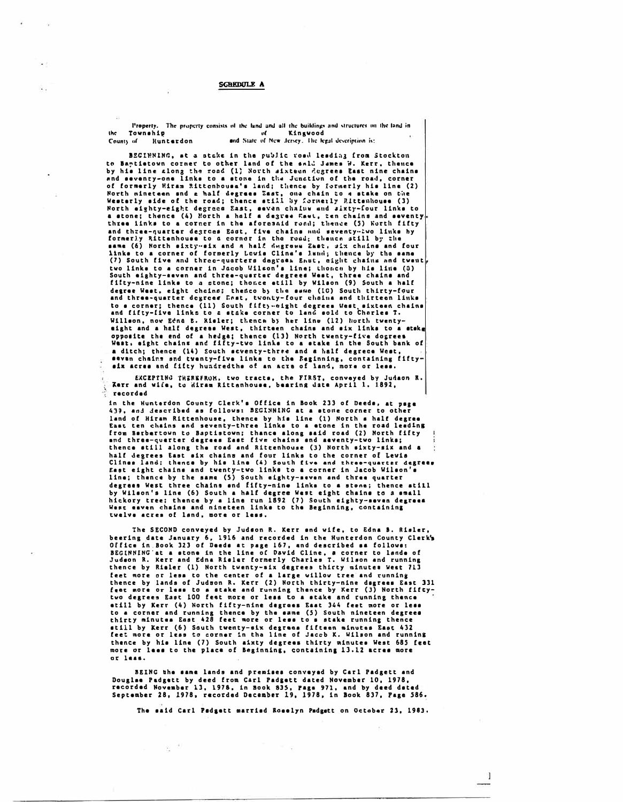#### SCREDULE A

l'roperty. The property consists of the fand and all the buildings and structures on the land in the Township the Townahip , and Slate of Kingwood .<br>County of Hunterdon — and Slate of New Jersey. The legal description is:

BEGINNING, at a stake in the public road leading from Stockton to Bantietown corner to other land of the sald James W. Kerr, thence<br>by his line alon<sub>3</sub> the road (1) North aixteen degrees East nine chains and sevency-one links to a stone in the Junction of the road, corner of formerly Miram Rittcnhousa's land; thence by formerly his line (2) North nineteen snd a half degrees East, ona chain to 4 stake on the<br>Westerly eide of the road; thence still by formerly Rittenhouse (3) North eighty-eight degrece East, seven chalus and aixty-four links to<br>a stone; thence (4) Morth a half a degree East, zen chains and seventy<br>three links to a corner in the aforesaid road; thence (5) Worth fifty and three-quarter degrees East, five chains and seventy-two links by formerly Rittenhouse to a cornor in the roud, thence still by the<br>same (6) North sixty-six and a halt degrees Zast, six chuine and four links to a corner of formerly Lewis Clins's lumi; thence by the same<br>(7) South five and three-quarters degrees Ensu, eight chains and twent<br>two links to a corner in Jacob Wilson's line; thoree by his line (3)<br>South eightydegree Waat, eight chcine; thenco by the a•we (IC) South thirty-four<br>and three-quarter dogrees Enst, twonty-four chains and thirteen links<br>to a cornar; thence (11) South fifty-oight dogrees West aixteen chains and fifty-five links to a stake corner to land sold to Charles T. Willson, now Edna B. Risler; thence by her line (12) horth twentyeight and a half degrees West, thirteen chains and six links to a steken opposite the end of a hedge; thence (13) North twenty-five dogrees West, eight chains and fifty-tvo links to a stake in the South bank of a ditch; thence (14) South seventy-three and a half degrees West, sevan chains and tventy-five links to the Reginning, containing fifty aix acres and fifty hundredths of an acre of land, more or less.

EXCEPTING THEREFROM, two tracts, the FIRST, conveyed by Judaon R.<br>Rerr and wife, to Wiram Rittenhouse, bearing date April 1, 1892, recorded<br>■ recorded

in the Hunterdon County Clerk's Office in Book 233 of Deeds, at psge 439, and described as follows: BEGINNING at a stone corner to other land of Hiram Rittenhouse, thence by him line (1) North & half degree<br>East ten chains and seventy-three links to a stone in the road leading from Barbertown to Baptistown; thance along said road (2) North fifty end three-querter degrees East five chains and aeventy-two links;<br>thence still along the road and Rittenhouse (3) North sixty-six and a half degrees East six chains and four links to the corner of Levis<br>Clines land: thence by his line (4) South five and three-quarter degrees East eight chains and twenty-two links to a corner in Jacob Wilson' line; thence by the same (5) South eighty-seven and three quarter degrees West three chains and fifty-nine links to a stone; thence atill by Wilson's line (6) South a half degree West eight chains to a small<br>hickory tree; thence by a line run 1892 (7) South eighty-seven degrees<br>West esven chains and nineteen links to the Beginning, containing twelve acres of land, more or less.

The SECOND conveyed by Judson R. Kerr and wife, to Edna B. Risler,<br>beering date January 6, 1916 and recorded in the Hunterdon County Clerk's<br>Office in Book 323 of Daeds at page 167, and described sa follows:<br>BEGINNING at a Judson R. Kerr and Edna Rislar formerly Charles T. Wilson and running thence by Rialer (1) North twenty-six degrees thirty minutes West 713 feet more or lesa to the center of a large willow tree and running<br>thence by lands of Judson R, Kerr (2) North thirty-nine dagrees East 331<br>feet more or less to a stake and running thence by Kerr (3) North fiftytwo degrees East 100 feet more or less to a stake and running thence etill by Kerr (4) North fifty-nine degrees Eaat 344 feet more or less to a corner and running thence by the same (5) South nineteen degrees<br>thirty minutes East 428 feet more or less to s stake running thence etill by Kerr (6) South twenty-six degrees fifteen minutes East 432<br>feet more or less to corner in tha line of Jacob K. Wilson and running thence by his line (7) South aixty degrees thirty minutes West 685 feet more or less to the place of Beginning, containing 13.12 acres more **or 1•••·** 

BEINC the same lands and premises conveyed by Carl Padgett and Douglas Padgett by deed from Carl Padgett dated November 10, 1978, recorded November 13, 1978, in Book 835, Page 971, and by deed dated September 28, 1978, recorded December 19, 1978, in look 837, Page 586,

8.

The said Carl Padgett married Roselyn Padgett on October 23, 1983.

 $\mathbf{I}$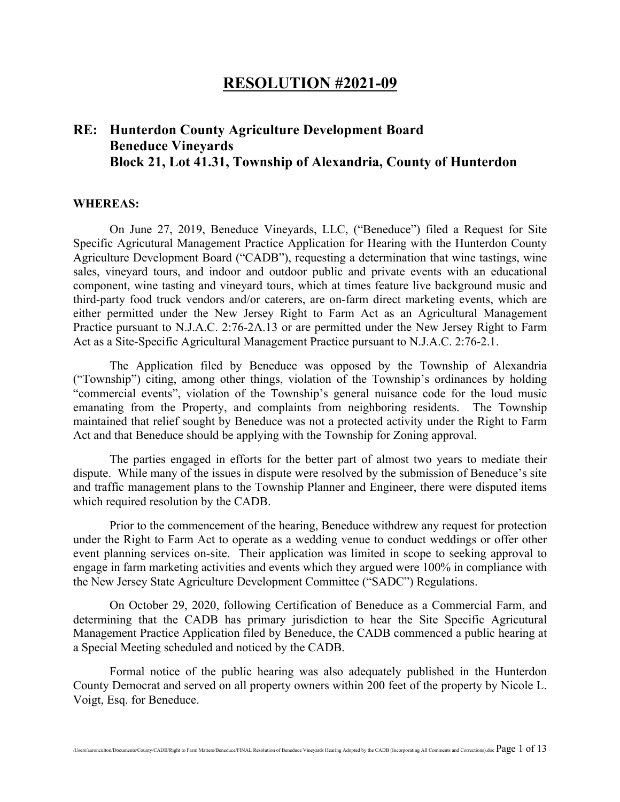### **RESOLUTION #2021-09**

## **RE: Hunterdon County Agriculture Development Board Beneduce Vineyards Block 21, Lot 41.31, Township of Alexandria, County of Hunterdon**

#### **WHEREAS:**

On June 27, 2019, Beneduce Vineyards, LLC, ("Beneduce") filed a Request for Site Specific Agricutural Management Practice Application for Hearing with the Hunterdon County Agriculture Development Board ("CADB"), requesting a determination that wine tastings, wine sales, vineyard tours, and indoor and outdoor public and private events with an educational component, wine tasting and vineyard tours, which at times feature live background music and third-party food truck vendors and/or caterers, are on-farm direct marketing events, which are either permitted under the New Jersey Right to Farm Act as an Agricultural Management Practice pursuant to N.J.A.C. 2:76-2A.13 or are permitted under the New Jersey Right to Farm Act as a Site-Specific Agricultural Management Practice pursuant to N.J.A.C. 2:76-2.1.

The Application filed by Beneduce was opposed by the Township of Alexandria ("Township") citing, among other things, violation of the Township's ordinances by holding "commercial events", violation of the Township's general nuisance code for the loud music emanating from the Property, and complaints from neighboring residents. The Township maintained that relief sought by Beneduce was not a protected activity under the Right to Farm Act and that Beneduce should be applying with the Township for Zoning approval.

The parties engaged in efforts for the better part of almost two years to mediate their dispute. While many of the issues in dispute were resolved by the submission of Beneduce's site and traffic management plans to the Township Planner and Engineer, there were disputed items which required resolution by the CADB.

Prior to the commencement of the hearing, Beneduce withdrew any request for protection under the Right to Farm Act to operate as a wedding venue to conduct weddings or offer other event planning services on-site. Their application was limited in scope to seeking approval to engage in farm marketing activities and events which they argued were 100% in compliance with the New Jersey State Agriculture Development Committee ("SADC") Regulations.

On October 29, 2020, following Certification of Beneduce as a Commercial Farm, and determining that the CADB has primary jurisdiction to hear the Site Specific Agricutural Management Practice Application filed by Beneduce, the CADB commenced a public hearing at a Special Meeting scheduled and noticed by the CADB.

Formal notice of the public hearing was also adequately published in the Hunterdon County Democrat and served on all property owners within 200 feet of the property by Nicole L. Voigt, Esq. for Beneduce.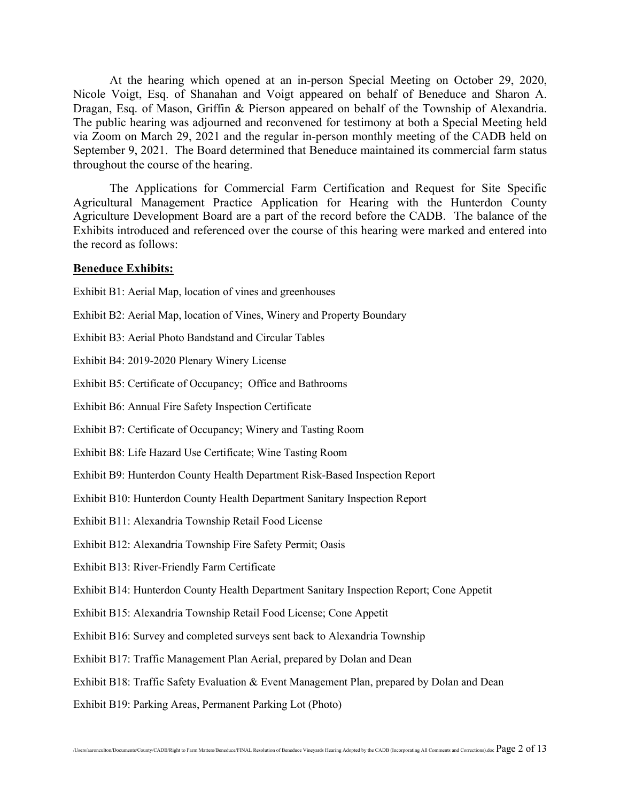At the hearing which opened at an in-person Special Meeting on October 29, 2020, Nicole Voigt, Esq. of Shanahan and Voigt appeared on behalf of Beneduce and Sharon A. Dragan, Esq. of Mason, Griffin & Pierson appeared on behalf of the Township of Alexandria. The public hearing was adjourned and reconvened for testimony at both a Special Meeting held via Zoom on March 29, 2021 and the regular in-person monthly meeting of the CADB held on September 9, 2021. The Board determined that Beneduce maintained its commercial farm status throughout the course of the hearing.

The Applications for Commercial Farm Certification and Request for Site Specific Agricultural Management Practice Application for Hearing with the Hunterdon County Agriculture Development Board are a part of the record before the CADB. The balance of the Exhibits introduced and referenced over the course of this hearing were marked and entered into the record as follows:

#### **Beneduce Exhibits:**

Exhibit B1: Aerial Map, location of vines and greenhouses

- Exhibit B2: Aerial Map, location of Vines, Winery and Property Boundary
- Exhibit B3: Aerial Photo Bandstand and Circular Tables

Exhibit B4: 2019-2020 Plenary Winery License

Exhibit B5: Certificate of Occupancy; Office and Bathrooms

Exhibit B6: Annual Fire Safety Inspection Certificate

Exhibit B7: Certificate of Occupancy; Winery and Tasting Room

Exhibit B8: Life Hazard Use Certificate; Wine Tasting Room

Exhibit B9: Hunterdon County Health Department Risk-Based Inspection Report

Exhibit B10: Hunterdon County Health Department Sanitary Inspection Report

Exhibit B11: Alexandria Township Retail Food License

Exhibit B12: Alexandria Township Fire Safety Permit; Oasis

Exhibit B13: River-Friendly Farm Certificate

Exhibit B14: Hunterdon County Health Department Sanitary Inspection Report; Cone Appetit

Exhibit B15: Alexandria Township Retail Food License; Cone Appetit

Exhibit B16: Survey and completed surveys sent back to Alexandria Township

Exhibit B17: Traffic Management Plan Aerial, prepared by Dolan and Dean

Exhibit B18: Traffic Safety Evaluation & Event Management Plan, prepared by Dolan and Dean

Exhibit B19: Parking Areas, Permanent Parking Lot (Photo)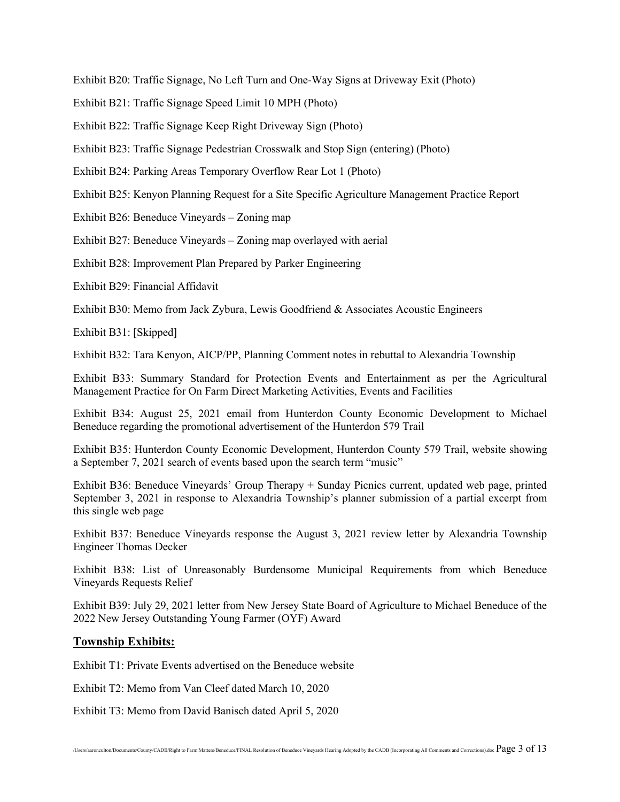Exhibit B20: Traffic Signage, No Left Turn and One-Way Signs at Driveway Exit (Photo)

Exhibit B21: Traffic Signage Speed Limit 10 MPH (Photo)

Exhibit B22: Traffic Signage Keep Right Driveway Sign (Photo)

Exhibit B23: Traffic Signage Pedestrian Crosswalk and Stop Sign (entering) (Photo)

Exhibit B24: Parking Areas Temporary Overflow Rear Lot 1 (Photo)

Exhibit B25: Kenyon Planning Request for a Site Specific Agriculture Management Practice Report

Exhibit B26: Beneduce Vineyards – Zoning map

Exhibit B27: Beneduce Vineyards – Zoning map overlayed with aerial

Exhibit B28: Improvement Plan Prepared by Parker Engineering

Exhibit B29: Financial Affidavit

Exhibit B30: Memo from Jack Zybura, Lewis Goodfriend & Associates Acoustic Engineers

Exhibit B31: [Skipped]

Exhibit B32: Tara Kenyon, AICP/PP, Planning Comment notes in rebuttal to Alexandria Township

Exhibit B33: Summary Standard for Protection Events and Entertainment as per the Agricultural Management Practice for On Farm Direct Marketing Activities, Events and Facilities

Exhibit B34: August 25, 2021 email from Hunterdon County Economic Development to Michael Beneduce regarding the promotional advertisement of the Hunterdon 579 Trail

Exhibit B35: Hunterdon County Economic Development, Hunterdon County 579 Trail, website showing a September 7, 2021 search of events based upon the search term "music"

Exhibit B36: Beneduce Vineyards' Group Therapy + Sunday Picnics current, updated web page, printed September 3, 2021 in response to Alexandria Township's planner submission of a partial excerpt from this single web page

Exhibit B37: Beneduce Vineyards response the August 3, 2021 review letter by Alexandria Township Engineer Thomas Decker

Exhibit B38: List of Unreasonably Burdensome Municipal Requirements from which Beneduce Vineyards Requests Relief

Exhibit B39: July 29, 2021 letter from New Jersey State Board of Agriculture to Michael Beneduce of the 2022 New Jersey Outstanding Young Farmer (OYF) Award

#### **Township Exhibits:**

Exhibit T1: Private Events advertised on the Beneduce website

Exhibit T2: Memo from Van Cleef dated March 10, 2020

Exhibit T3: Memo from David Banisch dated April 5, 2020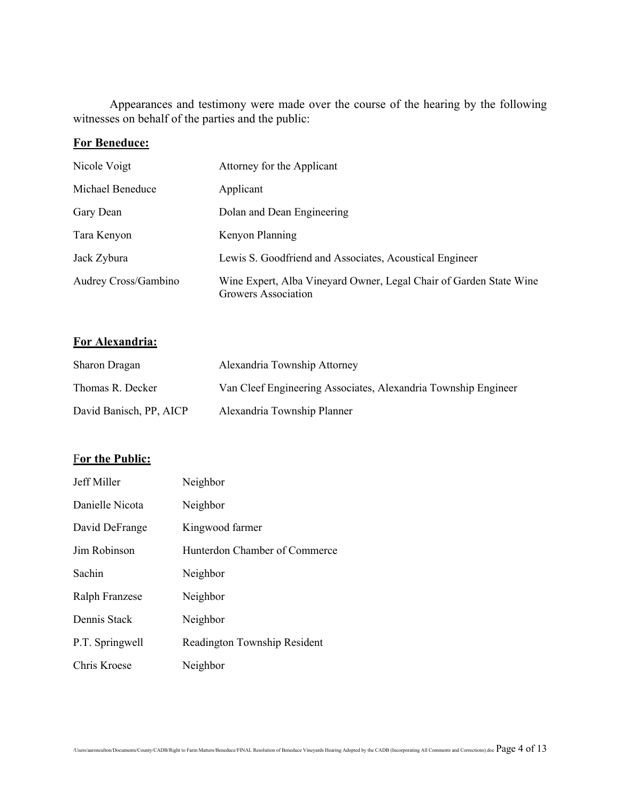Appearances and testimony were made over the course of the hearing by the following witnesses on behalf of the parties and the public:

### **For Beneduce:**

| Nicole Voigt         | Attorney for the Applicant                                                                       |
|----------------------|--------------------------------------------------------------------------------------------------|
| Michael Beneduce     | Applicant                                                                                        |
| Gary Dean            | Dolan and Dean Engineering                                                                       |
| Tara Kenyon          | Kenyon Planning                                                                                  |
| Jack Zybura          | Lewis S. Goodfriend and Associates, Acoustical Engineer                                          |
| Audrey Cross/Gambino | Wine Expert, Alba Vineyard Owner, Legal Chair of Garden State Wine<br><b>Growers Association</b> |

### **For Alexandria:**

| Sharon Dragan           | Alexandria Township Attorney                                   |
|-------------------------|----------------------------------------------------------------|
| Thomas R. Decker        | Van Cleef Engineering Associates, Alexandria Township Engineer |
| David Banisch, PP, AICP | Alexandria Township Planner                                    |

### For the Public:

| Jeff Miller     | Neighbor                      |
|-----------------|-------------------------------|
| Danielle Nicota | Neighbor                      |
| David DeFrange  | Kingwood farmer               |
| Jim Robinson    | Hunterdon Chamber of Commerce |
| Sachin          | Neighbor                      |
| Ralph Franzese  | Neighbor                      |
| Dennis Stack    | Neighbor                      |
| P.T. Springwell | Readington Township Resident  |
| Chris Kroese    | Neighbor                      |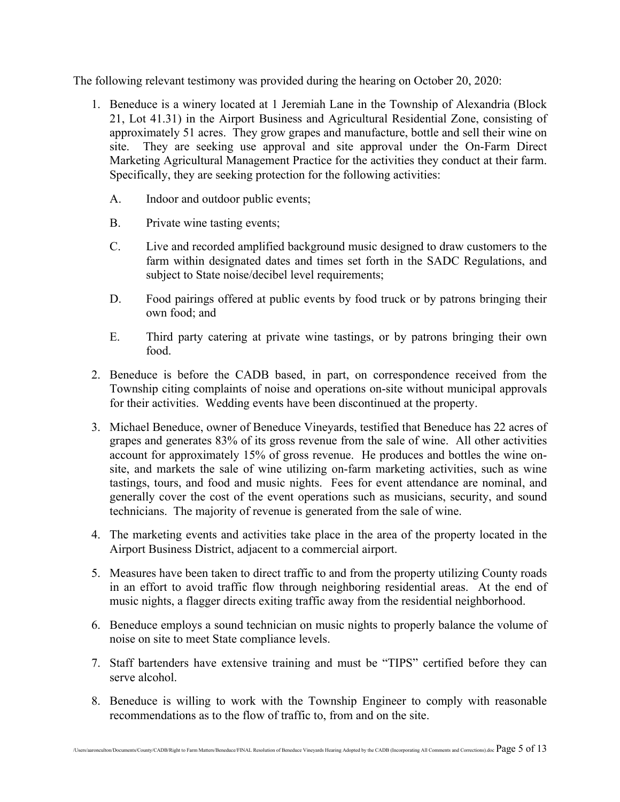The following relevant testimony was provided during the hearing on October 20, 2020:

- 1. Beneduce is a winery located at 1 Jeremiah Lane in the Township of Alexandria (Block 21, Lot 41.31) in the Airport Business and Agricultural Residential Zone, consisting of approximately 51 acres. They grow grapes and manufacture, bottle and sell their wine on site. They are seeking use approval and site approval under the On-Farm Direct Marketing Agricultural Management Practice for the activities they conduct at their farm. Specifically, they are seeking protection for the following activities:
	- A. Indoor and outdoor public events;
	- B. Private wine tasting events;
	- C. Live and recorded amplified background music designed to draw customers to the farm within designated dates and times set forth in the SADC Regulations, and subject to State noise/decibel level requirements;
	- D. Food pairings offered at public events by food truck or by patrons bringing their own food; and
	- E. Third party catering at private wine tastings, or by patrons bringing their own food.
- 2. Beneduce is before the CADB based, in part, on correspondence received from the Township citing complaints of noise and operations on-site without municipal approvals for their activities. Wedding events have been discontinued at the property.
- 3. Michael Beneduce, owner of Beneduce Vineyards, testified that Beneduce has 22 acres of grapes and generates 83% of its gross revenue from the sale of wine. All other activities account for approximately 15% of gross revenue. He produces and bottles the wine onsite, and markets the sale of wine utilizing on-farm marketing activities, such as wine tastings, tours, and food and music nights. Fees for event attendance are nominal, and generally cover the cost of the event operations such as musicians, security, and sound technicians. The majority of revenue is generated from the sale of wine.
- 4. The marketing events and activities take place in the area of the property located in the Airport Business District, adjacent to a commercial airport.
- 5. Measures have been taken to direct traffic to and from the property utilizing County roads in an effort to avoid traffic flow through neighboring residential areas. At the end of music nights, a flagger directs exiting traffic away from the residential neighborhood.
- 6. Beneduce employs a sound technician on music nights to properly balance the volume of noise on site to meet State compliance levels.
- 7. Staff bartenders have extensive training and must be "TIPS" certified before they can serve alcohol.
- 8. Beneduce is willing to work with the Township Engineer to comply with reasonable recommendations as to the flow of traffic to, from and on the site.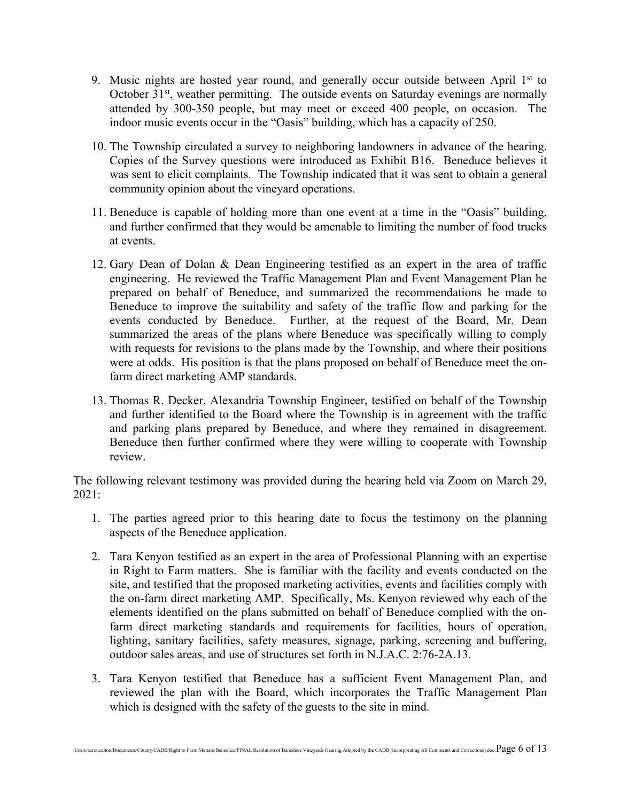- 9. Music nights are hosted year round, and generally occur outside between April  $1<sup>st</sup>$  to October  $31<sup>st</sup>$ , weather permitting. The outside events on Saturday evenings are normally attended by 300-350 people, but may meet or exceed 400 people, on occasion. The indoor music events occur in the "Oasis" building, which has a capacity of 250.
- 10. The Township circulated a survey to neighboring landowners in advance of the hearing. Copies of the Survey questions were introduced as Exhibit B16. Beneduce believes it was sent to elicit complaints. The Township indicated that it was sent to obtain a general community opinion about the vineyard operations.
- 11. Beneduce is capable of holding more than one event at a time in the "Oasis" building, and further confirmed that they would be amenable to limiting the number of food trucks at events.
- 12. Gary Dean of Dolan & Dean Engineering testified as an expert in the area of traffic engineering. He reviewed the Traffic Management Plan and Event Management Plan he prepared on behalf of Beneduce, and summarized the recommendations he made to Beneduce to improve the suitability and safety of the traffic flow and parking for the events conducted by Beneduce. Further, at the request of the Board, Mr. Dean summarized the areas of the plans where Beneduce was specifically willing to comply with requests for revisions to the plans made by the Township, and where their positions were at odds. His position is that the plans proposed on behalf of Beneduce meet the onfarm direct marketing AMP standards.
- 13. Thomas R. Decker, Alexandria Township Engineer, testified on behalf of the Township and further identified to the Board where the Township is in agreement with the traffic and parking plans prepared by Beneduce, and where they remained in disagreement. Beneduce then further confirmed where they were willing to cooperate with Township review.

The following relevant testimony was provided during the hearing held via Zoom on March 29, 2021:

- 1. The parties agreed prior to this hearing date to focus the testimony on the planning aspects of the Beneduce application.
- 2. Tara Kenyon testified as an expert in the area of Professional Planning with an expertise in Right to Farm matters. She is familiar with the facility and events conducted on the site, and testified that the proposed marketing activities, events and facilities comply with the on-farm direct marketing AMP. Specifically, Ms. Kenyon reviewed why each of the elements identified on the plans submitted on behalf of Beneduce complied with the onfarm direct marketing standards and requirements for facilities, hours of operation, lighting, sanitary facilities, safety measures, signage, parking, screening and buffering, outdoor sales areas, and use of structures set forth in N.J.A.C. 2:76-2A.13.
- 3. Tara Kenyon testified that Beneduce has a sufficient Event Management Plan, and reviewed the plan with the Board, which incorporates the Traffic Management Plan which is designed with the safety of the guests to the site in mind.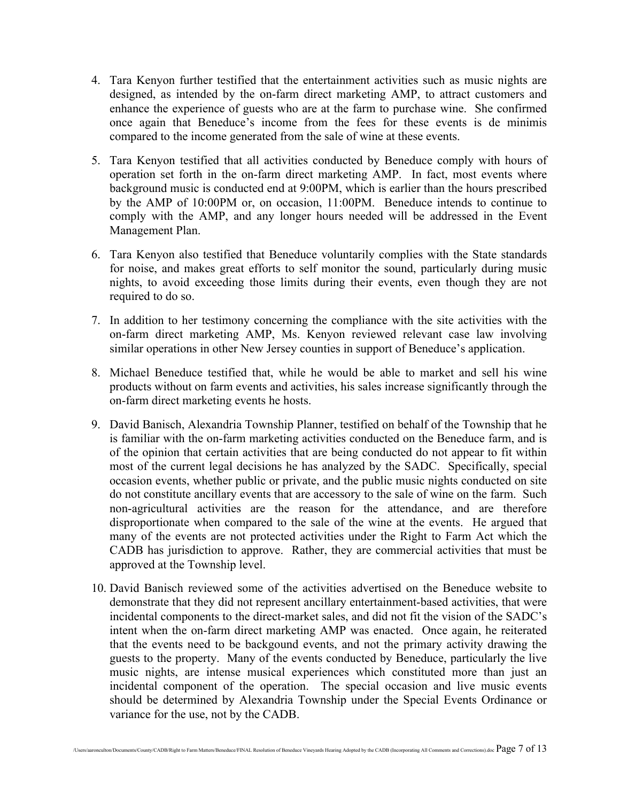- 4. Tara Kenyon further testified that the entertainment activities such as music nights are designed, as intended by the on-farm direct marketing AMP, to attract customers and enhance the experience of guests who are at the farm to purchase wine. She confirmed once again that Beneduce's income from the fees for these events is de minimis compared to the income generated from the sale of wine at these events.
- 5. Tara Kenyon testified that all activities conducted by Beneduce comply with hours of operation set forth in the on-farm direct marketing AMP. In fact, most events where background music is conducted end at 9:00PM, which is earlier than the hours prescribed by the AMP of 10:00PM or, on occasion, 11:00PM. Beneduce intends to continue to comply with the AMP, and any longer hours needed will be addressed in the Event Management Plan.
- 6. Tara Kenyon also testified that Beneduce voluntarily complies with the State standards for noise, and makes great efforts to self monitor the sound, particularly during music nights, to avoid exceeding those limits during their events, even though they are not required to do so.
- 7. In addition to her testimony concerning the compliance with the site activities with the on-farm direct marketing AMP, Ms. Kenyon reviewed relevant case law involving similar operations in other New Jersey counties in support of Beneduce's application.
- 8. Michael Beneduce testified that, while he would be able to market and sell his wine products without on farm events and activities, his sales increase significantly through the on-farm direct marketing events he hosts.
- 9. David Banisch, Alexandria Township Planner, testified on behalf of the Township that he is familiar with the on-farm marketing activities conducted on the Beneduce farm, and is of the opinion that certain activities that are being conducted do not appear to fit within most of the current legal decisions he has analyzed by the SADC. Specifically, special occasion events, whether public or private, and the public music nights conducted on site do not constitute ancillary events that are accessory to the sale of wine on the farm. Such non-agricultural activities are the reason for the attendance, and are therefore disproportionate when compared to the sale of the wine at the events. He argued that many of the events are not protected activities under the Right to Farm Act which the CADB has jurisdiction to approve. Rather, they are commercial activities that must be approved at the Township level.
- 10. David Banisch reviewed some of the activities advertised on the Beneduce website to demonstrate that they did not represent ancillary entertainment-based activities, that were incidental components to the direct-market sales, and did not fit the vision of the SADC's intent when the on-farm direct marketing AMP was enacted. Once again, he reiterated that the events need to be backgound events, and not the primary activity drawing the guests to the property. Many of the events conducted by Beneduce, particularly the live music nights, are intense musical experiences which constituted more than just an incidental component of the operation. The special occasion and live music events should be determined by Alexandria Township under the Special Events Ordinance or variance for the use, not by the CADB.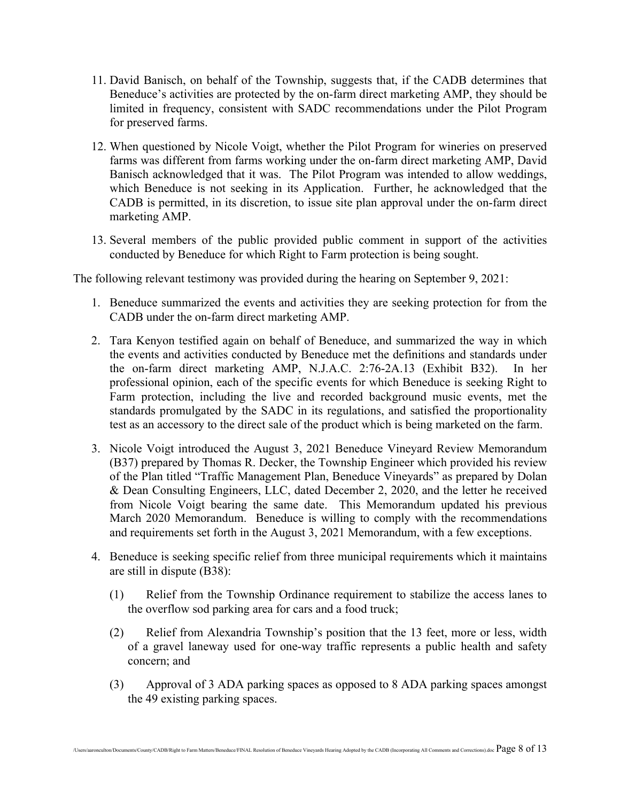- 11. David Banisch, on behalf of the Township, suggests that, if the CADB determines that Beneduce's activities are protected by the on-farm direct marketing AMP, they should be limited in frequency, consistent with SADC recommendations under the Pilot Program for preserved farms.
- 12. When questioned by Nicole Voigt, whether the Pilot Program for wineries on preserved farms was different from farms working under the on-farm direct marketing AMP, David Banisch acknowledged that it was. The Pilot Program was intended to allow weddings, which Beneduce is not seeking in its Application. Further, he acknowledged that the CADB is permitted, in its discretion, to issue site plan approval under the on-farm direct marketing AMP.
- 13. Several members of the public provided public comment in support of the activities conducted by Beneduce for which Right to Farm protection is being sought.

The following relevant testimony was provided during the hearing on September 9, 2021:

- 1. Beneduce summarized the events and activities they are seeking protection for from the CADB under the on-farm direct marketing AMP.
- 2. Tara Kenyon testified again on behalf of Beneduce, and summarized the way in which the events and activities conducted by Beneduce met the definitions and standards under the on-farm direct marketing AMP, N.J.A.C. 2:76-2A.13 (Exhibit B32). In her professional opinion, each of the specific events for which Beneduce is seeking Right to Farm protection, including the live and recorded background music events, met the standards promulgated by the SADC in its regulations, and satisfied the proportionality test as an accessory to the direct sale of the product which is being marketed on the farm.
- 3. Nicole Voigt introduced the August 3, 2021 Beneduce Vineyard Review Memorandum (B37) prepared by Thomas R. Decker, the Township Engineer which provided his review of the Plan titled "Traffic Management Plan, Beneduce Vineyards" as prepared by Dolan & Dean Consulting Engineers, LLC, dated December 2, 2020, and the letter he received from Nicole Voigt bearing the same date. This Memorandum updated his previous March 2020 Memorandum. Beneduce is willing to comply with the recommendations and requirements set forth in the August 3, 2021 Memorandum, with a few exceptions.
- 4. Beneduce is seeking specific relief from three municipal requirements which it maintains are still in dispute (B38):
	- (1) Relief from the Township Ordinance requirement to stabilize the access lanes to the overflow sod parking area for cars and a food truck;
	- (2) Relief from Alexandria Township's position that the 13 feet, more or less, width of a gravel laneway used for one-way traffic represents a public health and safety concern; and
	- (3) Approval of 3 ADA parking spaces as opposed to 8 ADA parking spaces amongst the 49 existing parking spaces.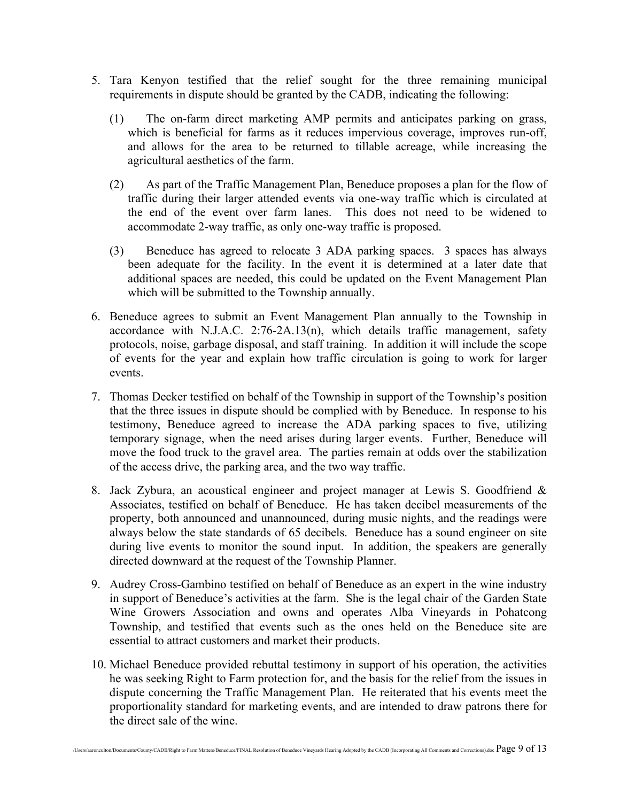- 5. Tara Kenyon testified that the relief sought for the three remaining municipal requirements in dispute should be granted by the CADB, indicating the following:
	- (1) The on-farm direct marketing AMP permits and anticipates parking on grass, which is beneficial for farms as it reduces impervious coverage, improves run-off, and allows for the area to be returned to tillable acreage, while increasing the agricultural aesthetics of the farm.
	- (2) As part of the Traffic Management Plan, Beneduce proposes a plan for the flow of traffic during their larger attended events via one-way traffic which is circulated at the end of the event over farm lanes. This does not need to be widened to accommodate 2-way traffic, as only one-way traffic is proposed.
	- (3) Beneduce has agreed to relocate 3 ADA parking spaces. 3 spaces has always been adequate for the facility. In the event it is determined at a later date that additional spaces are needed, this could be updated on the Event Management Plan which will be submitted to the Township annually.
- 6. Beneduce agrees to submit an Event Management Plan annually to the Township in accordance with N.J.A.C. 2:76-2A.13(n), which details traffic management, safety protocols, noise, garbage disposal, and staff training. In addition it will include the scope of events for the year and explain how traffic circulation is going to work for larger events.
- 7. Thomas Decker testified on behalf of the Township in support of the Township's position that the three issues in dispute should be complied with by Beneduce. In response to his testimony, Beneduce agreed to increase the ADA parking spaces to five, utilizing temporary signage, when the need arises during larger events. Further, Beneduce will move the food truck to the gravel area. The parties remain at odds over the stabilization of the access drive, the parking area, and the two way traffic.
- 8. Jack Zybura, an acoustical engineer and project manager at Lewis S. Goodfriend & Associates, testified on behalf of Beneduce. He has taken decibel measurements of the property, both announced and unannounced, during music nights, and the readings were always below the state standards of 65 decibels. Beneduce has a sound engineer on site during live events to monitor the sound input. In addition, the speakers are generally directed downward at the request of the Township Planner.
- 9. Audrey Cross-Gambino testified on behalf of Beneduce as an expert in the wine industry in support of Beneduce's activities at the farm. She is the legal chair of the Garden State Wine Growers Association and owns and operates Alba Vineyards in Pohatcong Township, and testified that events such as the ones held on the Beneduce site are essential to attract customers and market their products.
- 10. Michael Beneduce provided rebuttal testimony in support of his operation, the activities he was seeking Right to Farm protection for, and the basis for the relief from the issues in dispute concerning the Traffic Management Plan. He reiterated that his events meet the proportionality standard for marketing events, and are intended to draw patrons there for the direct sale of the wine.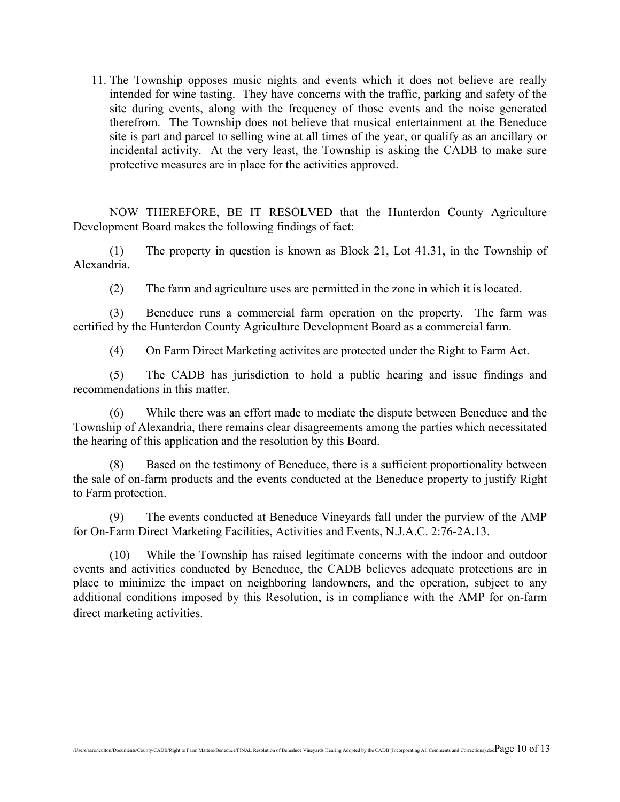11. The Township opposes music nights and events which it does not believe are really intended for wine tasting. They have concerns with the traffic, parking and safety of the site during events, along with the frequency of those events and the noise generated therefrom. The Township does not believe that musical entertainment at the Beneduce site is part and parcel to selling wine at all times of the year, or qualify as an ancillary or incidental activity. At the very least, the Township is asking the CADB to make sure protective measures are in place for the activities approved.

NOW THEREFORE, BE IT RESOLVED that the Hunterdon County Agriculture Development Board makes the following findings of fact:

(1) The property in question is known as Block 21, Lot 41.31, in the Township of Alexandria.

(2) The farm and agriculture uses are permitted in the zone in which it is located.

(3) Beneduce runs a commercial farm operation on the property. The farm was certified by the Hunterdon County Agriculture Development Board as a commercial farm.

(4) On Farm Direct Marketing activites are protected under the Right to Farm Act.

(5) The CADB has jurisdiction to hold a public hearing and issue findings and recommendations in this matter.

(6) While there was an effort made to mediate the dispute between Beneduce and the Township of Alexandria, there remains clear disagreements among the parties which necessitated the hearing of this application and the resolution by this Board.

(8) Based on the testimony of Beneduce, there is a sufficient proportionality between the sale of on-farm products and the events conducted at the Beneduce property to justify Right to Farm protection.

(9) The events conducted at Beneduce Vineyards fall under the purview of the AMP for On-Farm Direct Marketing Facilities, Activities and Events, N.J.A.C. 2:76-2A.13.

(10) While the Township has raised legitimate concerns with the indoor and outdoor events and activities conducted by Beneduce, the CADB believes adequate protections are in place to minimize the impact on neighboring landowners, and the operation, subject to any additional conditions imposed by this Resolution, is in compliance with the AMP for on-farm direct marketing activities.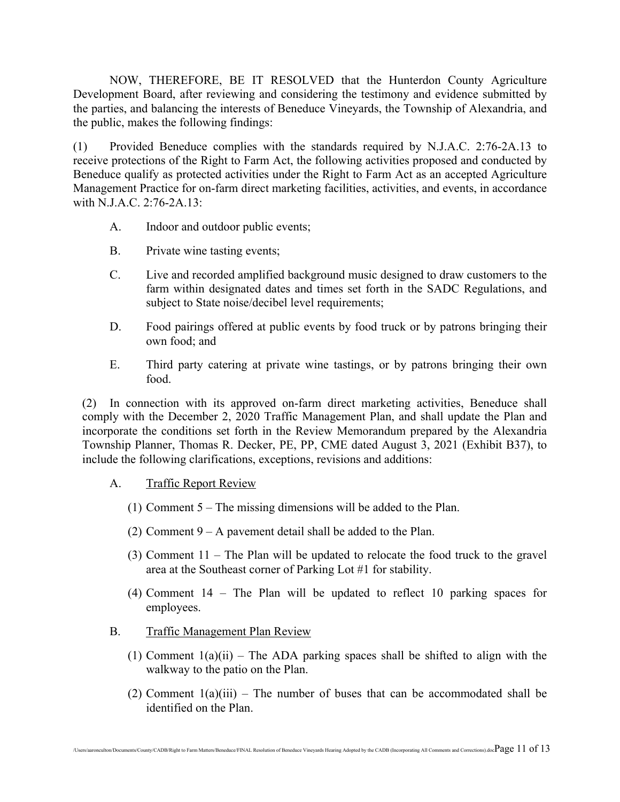NOW, THEREFORE, BE IT RESOLVED that the Hunterdon County Agriculture Development Board, after reviewing and considering the testimony and evidence submitted by the parties, and balancing the interests of Beneduce Vineyards, the Township of Alexandria, and the public, makes the following findings:

(1) Provided Beneduce complies with the standards required by N.J.A.C. 2:76-2A.13 to receive protections of the Right to Farm Act, the following activities proposed and conducted by Beneduce qualify as protected activities under the Right to Farm Act as an accepted Agriculture Management Practice for on-farm direct marketing facilities, activities, and events, in accordance with N.J.A.C. 2:76-2A.13:

- A. Indoor and outdoor public events;
- B. Private wine tasting events;
- C. Live and recorded amplified background music designed to draw customers to the farm within designated dates and times set forth in the SADC Regulations, and subject to State noise/decibel level requirements;
- D. Food pairings offered at public events by food truck or by patrons bringing their own food; and
- E. Third party catering at private wine tastings, or by patrons bringing their own food.

(2) In connection with its approved on-farm direct marketing activities, Beneduce shall comply with the December 2, 2020 Traffic Management Plan, and shall update the Plan and incorporate the conditions set forth in the Review Memorandum prepared by the Alexandria Township Planner, Thomas R. Decker, PE, PP, CME dated August 3, 2021 (Exhibit B37), to include the following clarifications, exceptions, revisions and additions:

### A. Traffic Report Review

- (1) Comment 5 The missing dimensions will be added to the Plan.
- (2) Comment  $9 A$  pavement detail shall be added to the Plan.
- (3) Comment 11 The Plan will be updated to relocate the food truck to the gravel area at the Southeast corner of Parking Lot #1 for stability.
- (4) Comment 14 The Plan will be updated to reflect 10 parking spaces for employees.
- B. Traffic Management Plan Review
	- (1) Comment  $1(a)(ii)$  The ADA parking spaces shall be shifted to align with the walkway to the patio on the Plan.
	- (2) Comment  $1(a)(iii)$  The number of buses that can be accommodated shall be identified on the Plan.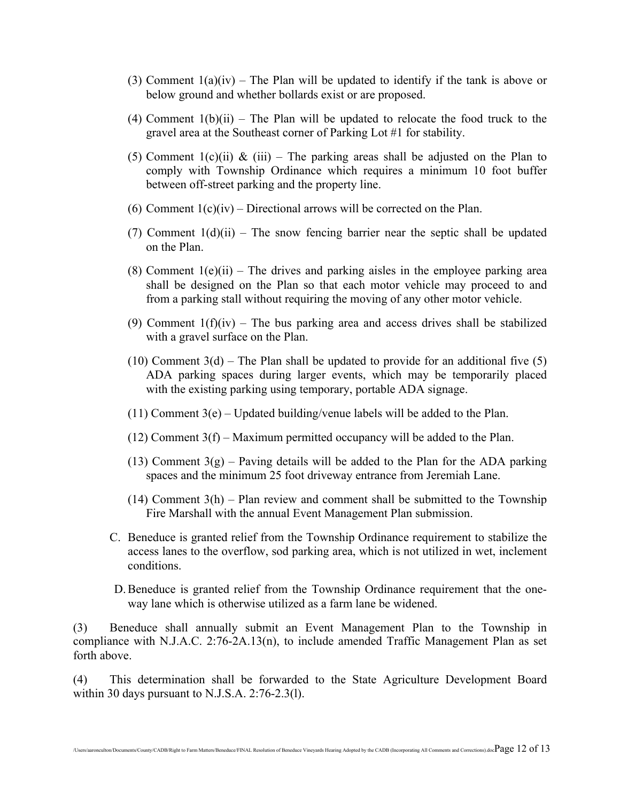- (3) Comment  $1(a)(iv)$  The Plan will be updated to identify if the tank is above or below ground and whether bollards exist or are proposed.
- (4) Comment  $1(b)(ii)$  The Plan will be updated to relocate the food truck to the gravel area at the Southeast corner of Parking Lot #1 for stability.
- (5) Comment  $1(c)(ii)$  & (iii) The parking areas shall be adjusted on the Plan to comply with Township Ordinance which requires a minimum 10 foot buffer between off-street parking and the property line.
- (6) Comment  $1(c)(iv)$  Directional arrows will be corrected on the Plan.
- (7) Comment  $1(d)(ii)$  The snow fencing barrier near the septic shall be updated on the Plan.
- (8) Comment  $1(e)(ii)$  The drives and parking aisles in the employee parking area shall be designed on the Plan so that each motor vehicle may proceed to and from a parking stall without requiring the moving of any other motor vehicle.
- (9) Comment  $1(f)(iv)$  The bus parking area and access drives shall be stabilized with a gravel surface on the Plan.
- $(10)$  Comment 3(d) The Plan shall be updated to provide for an additional five (5) ADA parking spaces during larger events, which may be temporarily placed with the existing parking using temporary, portable ADA signage.
- $(11)$  Comment 3(e) Updated building/venue labels will be added to the Plan.
- $(12)$  Comment 3(f) Maximum permitted occupancy will be added to the Plan.
- (13) Comment  $3(g)$  Paving details will be added to the Plan for the ADA parking spaces and the minimum 25 foot driveway entrance from Jeremiah Lane.
- $(14)$  Comment  $3(h)$  Plan review and comment shall be submitted to the Township Fire Marshall with the annual Event Management Plan submission.
- C. Beneduce is granted relief from the Township Ordinance requirement to stabilize the access lanes to the overflow, sod parking area, which is not utilized in wet, inclement conditions.
- D.Beneduce is granted relief from the Township Ordinance requirement that the oneway lane which is otherwise utilized as a farm lane be widened.

(3) Beneduce shall annually submit an Event Management Plan to the Township in compliance with N.J.A.C. 2:76-2A.13(n), to include amended Traffic Management Plan as set forth above.

(4) This determination shall be forwarded to the State Agriculture Development Board within 30 days pursuant to N.J.S.A. 2:76-2.3(l).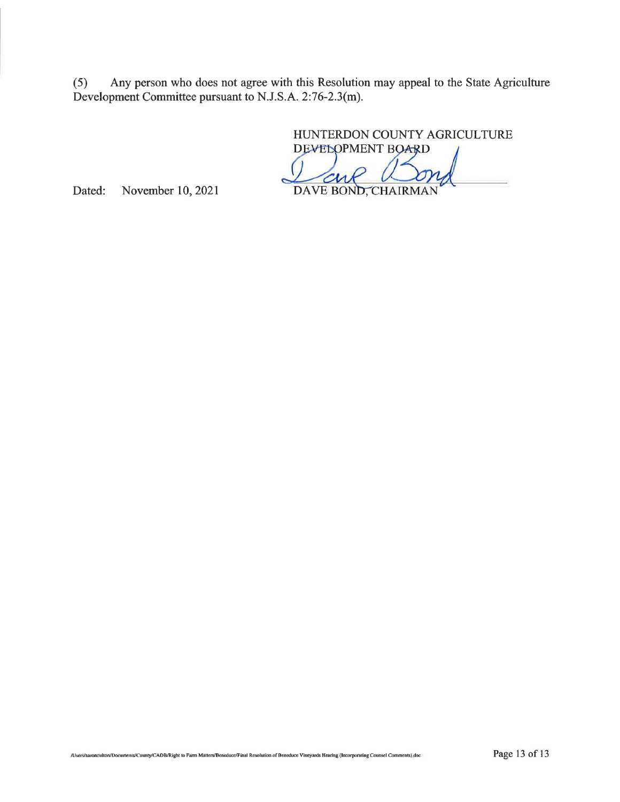Any person who does not agree with this Resolution may appeal to the State Agriculture  $(5)$ Development Committee pursuant to N.J.S.A. 2:76-2.3(m).

HUNTERDON COUNTY AGRICULTURE

DEVELOPMENT BOARD DAVE BOND, CHAIRMAN

Dated: November 10, 2021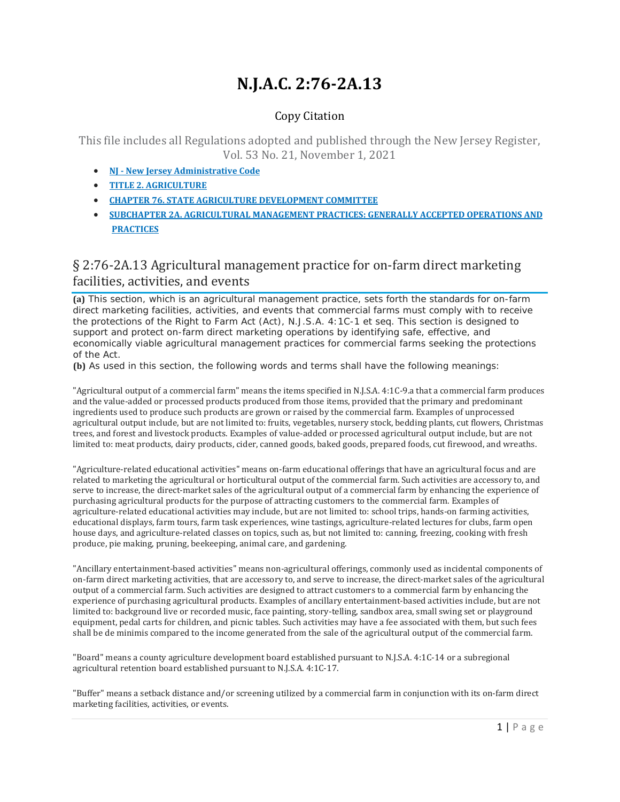# **N.J.A.C. 2:76-2A.13**

### Copy Citation

This file includes all Regulations adopted and published through the New Jersey Register, Vol. 53 No. 21, November 1, 2021

- **NJ New Jersey [Administrative Code](https://advance.lexis.com/documentpage/?pdmfid=1000516&crid=f5d5b6a7-83a9-4a66-8a55-9c2a44cad5cf&nodeid=AACABZAAEAAN&nodepath=%2FROOT%2FAAC%2FAACABZ%2FAACABZAAE%2FAACABZAAEAAN&level=4&haschildren=&populated=false&title=%C2%A7+2%3A76-2A.13+Agricultural+management+practice+for+on-farm+direct+marketing+facilities%2C+activities%2C+and+events&indicator=true&config=00JAA1YTg5OGJlYi04MTI4LTRlNjQtYTc4Yi03NTQxN2E5NmE0ZjQKAFBvZENhdGFsb2ftaXPxZTR7bRPtX1Jok9kz&pddocfullpath=%2Fshared%2Fdocument%2Fadministrative-codes%2Furn%3AcontentItem%3A5XKV-PWB1-JJK6-S2TY-00008-00&ecomp=_g1_kkk&prid=cf750293-fac1-45a0-9405-0422b2c0901e)**
- **TITLE 2. [AGRICULTURE](https://advance.lexis.com/documentpage/?pdmfid=1000516&crid=f5d5b6a7-83a9-4a66-8a55-9c2a44cad5cf&nodeid=AACABZAAEAAN&nodepath=%2FROOT%2FAAC%2FAACABZ%2FAACABZAAE%2FAACABZAAEAAN&level=4&haschildren=&populated=false&title=%C2%A7+2%3A76-2A.13+Agricultural+management+practice+for+on-farm+direct+marketing+facilities%2C+activities%2C+and+events&indicator=true&config=00JAA1YTg5OGJlYi04MTI4LTRlNjQtYTc4Yi03NTQxN2E5NmE0ZjQKAFBvZENhdGFsb2ftaXPxZTR7bRPtX1Jok9kz&pddocfullpath=%2Fshared%2Fdocument%2Fadministrative-codes%2Furn%3AcontentItem%3A5XKV-PWB1-JJK6-S2TY-00008-00&ecomp=_g1_kkk&prid=cf750293-fac1-45a0-9405-0422b2c0901e)**
- **CHAPTER 76. STATE AGRICULTURE [DEVELOPMENT](https://advance.lexis.com/documentpage/?pdmfid=1000516&crid=f5d5b6a7-83a9-4a66-8a55-9c2a44cad5cf&nodeid=AACABZAAEAAN&nodepath=%2FROOT%2FAAC%2FAACABZ%2FAACABZAAE%2FAACABZAAEAAN&level=4&haschildren=&populated=false&title=%C2%A7+2%3A76-2A.13+Agricultural+management+practice+for+on-farm+direct+marketing+facilities%2C+activities%2C+and+events&indicator=true&config=00JAA1YTg5OGJlYi04MTI4LTRlNjQtYTc4Yi03NTQxN2E5NmE0ZjQKAFBvZENhdGFsb2ftaXPxZTR7bRPtX1Jok9kz&pddocfullpath=%2Fshared%2Fdocument%2Fadministrative-codes%2Furn%3AcontentItem%3A5XKV-PWB1-JJK6-S2TY-00008-00&ecomp=_g1_kkk&prid=cf750293-fac1-45a0-9405-0422b2c0901e) COMMITTEE**
- **SUBCHAPTER 2A. AGRICULTURAL MANAGEMENT PRACTICES: [GENERALLY ACCEPTED OPERATIONS](https://advance.lexis.com/documentpage/?pdmfid=1000516&crid=f5d5b6a7-83a9-4a66-8a55-9c2a44cad5cf&nodeid=AACABZAAEAAN&nodepath=%2FROOT%2FAAC%2FAACABZ%2FAACABZAAE%2FAACABZAAEAAN&level=4&haschildren=&populated=false&title=%C2%A7+2%3A76-2A.13+Agricultural+management+practice+for+on-farm+direct+marketing+facilities%2C+activities%2C+and+events&indicator=true&config=00JAA1YTg5OGJlYi04MTI4LTRlNjQtYTc4Yi03NTQxN2E5NmE0ZjQKAFBvZENhdGFsb2ftaXPxZTR7bRPtX1Jok9kz&pddocfullpath=%2Fshared%2Fdocument%2Fadministrative-codes%2Furn%3AcontentItem%3A5XKV-PWB1-JJK6-S2TY-00008-00&ecomp=_g1_kkk&prid=cf750293-fac1-45a0-9405-0422b2c0901e) AND [PRACTICES](https://advance.lexis.com/documentpage/?pdmfid=1000516&crid=f5d5b6a7-83a9-4a66-8a55-9c2a44cad5cf&nodeid=AACABZAAEAAN&nodepath=%2FROOT%2FAAC%2FAACABZ%2FAACABZAAE%2FAACABZAAEAAN&level=4&haschildren=&populated=false&title=%C2%A7+2%3A76-2A.13+Agricultural+management+practice+for+on-farm+direct+marketing+facilities%2C+activities%2C+and+events&indicator=true&config=00JAA1YTg5OGJlYi04MTI4LTRlNjQtYTc4Yi03NTQxN2E5NmE0ZjQKAFBvZENhdGFsb2ftaXPxZTR7bRPtX1Jok9kz&pddocfullpath=%2Fshared%2Fdocument%2Fadministrative-codes%2Furn%3AcontentItem%3A5XKV-PWB1-JJK6-S2TY-00008-00&ecomp=_g1_kkk&prid=cf750293-fac1-45a0-9405-0422b2c0901e)**

### § 2:76-2A.13 Agricultural management practice for on-farm direct marketing facilities, activities, and events

**(a)** This section, which is an agricultural management practice, sets forth the standards for on-farm direct marketing facilities, activities, and events that commercial farms must comply with to receive the protections of the Right to Farm Act (Act), N.J.S.A. 4:1C-1 et seq. This section is designed to support and protect on-farm direct marketing operations by identifying safe, effective, and economically viable agricultural management practices for commercial farms seeking the protections of the Act.

**(b)** As used in this section, the following words and terms shall have the following meanings:

"Agricultural output of a commercial farm" means the items specified in N.J.S.A. 4:1C-9.a that a commercial farm produces and the value-added or processed products produced from those items, provided that the primary and predominant ingredients used to produce such products are grown or raised by the commercial farm. Examples of unprocessed agricultural output include, but are not limited to: fruits, vegetables, nursery stock, bedding plants, cut flowers, Christmas trees, and forest and livestock products. Examples of value-added or processed agricultural output include, but are not limited to: meat products, dairy products, cider, canned goods, baked goods, prepared foods, cut firewood, and wreaths.

"Agriculture-related educational activities" means on-farm educational offerings that have an agricultural focus and are related to marketing the agricultural or horticultural output of the commercial farm. Such activities are accessory to, and serve to increase, the direct-market sales of the agricultural output of a commercial farm by enhancing the experience of purchasing agricultural products for the purpose of attracting customers to the commercial farm. Examples of agriculture-related educational activities may include, but are not limited to: school trips, hands-on farming activities, educational displays, farm tours, farm task experiences, wine tastings, agriculture-related lectures for clubs, farm open house days, and agriculture-related classes on topics, such as, but not limited to: canning, freezing, cooking with fresh produce, pie making, pruning, beekeeping, animal care, and gardening.

"Ancillary entertainment-based activities" means non-agricultural offerings, commonly used as incidental components of on-farm direct marketing activities, that are accessory to, and serve to increase, the direct-market sales of the agricultural output of a commercial farm. Such activities are designed to attract customers to a commercial farm by enhancing the experience of purchasing agricultural products. Examples of ancillary entertainment-based activities include, but are not limited to: background live or recorded music, face painting, story-telling, sandbox area, small swing set or playground equipment, pedal carts for children, and picnic tables. Such activities may have a fee associated with them, but such fees shall be de minimis compared to the income generated from the sale of the agricultural output of the commercial farm.

"Board" means a county agriculture development board established pursuant to N.J.S.A. 4:1C-14 or a subregional agricultural retention board established pursuant to N.J.S.A. 4:1C-17.

"Buffer" means a setback distance and/or screening utilized by a commercial farm in conjunction with its on-farm direct marketing facilities, activities, or events.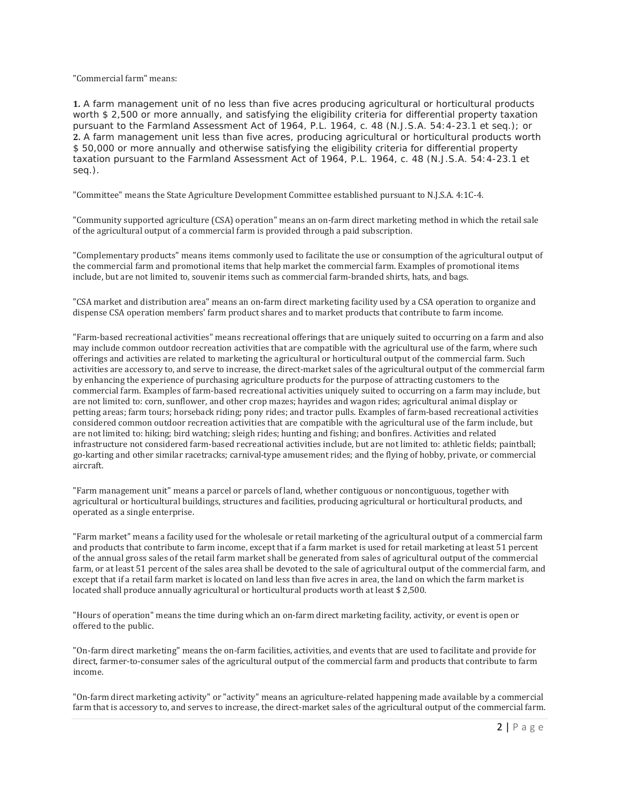#### "Commercial farm" means:

**1.** A farm management unit of no less than five acres producing agricultural or horticultural products worth \$ 2,500 or more annually, and satisfying the eligibility criteria for differential property taxation pursuant to the Farmland Assessment Act of 1964, P.L. 1964, c. 48 (N.J.S.A. 54:4-23.1 et seq.); or **2.** A farm management unit less than five acres, producing agricultural or horticultural products worth \$ 50,000 or more annually and otherwise satisfying the eligibility criteria for differential property taxation pursuant to the Farmland Assessment Act of 1964, P.L. 1964, c. 48 (N.J.S.A. 54:4-23.1 et seq.).

"Committee" means the State Agriculture Development Committee established pursuant to N.J.S.A. 4:1C-4.

"Community supported agriculture (CSA) operation" means an on-farm direct marketing method in which the retail sale of the agricultural output of a commercial farm is provided through a paid subscription.

"Complementary products" means items commonly used to facilitate the use or consumption of the agricultural output of the commercial farm and promotional items that help market the commercial farm. Examples of promotional items include, but are not limited to, souvenir items such as commercial farm-branded shirts, hats, and bags.

"CSA market and distribution area" means an on-farm direct marketing facility used by a CSA operation to organize and dispense CSA operation members' farm product shares and to market products that contribute to farm income.

"Farm-based recreational activities" means recreational offerings that are uniquely suited to occurring on a farm and also may include common outdoor recreation activities that are compatible with the agricultural use of the farm, where such offerings and activities are related to marketing the agricultural or horticultural output of the commercial farm. Such activities are accessory to, and serve to increase, the direct-market sales of the agricultural output of the commercial farm by enhancing the experience of purchasing agriculture products for the purpose of attracting customers to the commercial farm. Examples of farm-based recreational activities uniquely suited to occurring on a farm may include, but are not limited to: corn, sunflower, and other crop mazes; hayrides and wagon rides; agricultural animal display or petting areas; farm tours; horseback riding; pony rides; and tractor pulls. Examples of farm-based recreational activities considered common outdoor recreation activities that are compatible with the agricultural use of the farm include, but are not limited to: hiking; bird watching; sleigh rides; hunting and fishing; and bonfires. Activities and related infrastructure not considered farm-based recreational activities include, but are not limited to: athletic fields; paintball; go-karting and other similar racetracks; carnival-type amusement rides; and the flying of hobby, private, or commercial aircraft.

"Farm management unit" means a parcel or parcels of land, whether contiguous or noncontiguous, together with agricultural or horticultural buildings, structures and facilities, producing agricultural or horticultural products, and operated as a single enterprise.

"Farm market" means a facility used for the wholesale or retail marketing of the agricultural output of a commercial farm and products that contribute to farm income, except that if a farm market is used for retail marketing at least 51 percent of the annual gross sales of the retail farm market shall be generated from sales of agricultural output of the commercial farm, or at least 51 percent of the sales area shall be devoted to the sale of agricultural output of the commercial farm, and except that if a retail farm market is located on land less than five acres in area, the land on which the farm market is located shall produce annually agricultural or horticultural products worth at least \$ 2,500.

"Hours of operation" means the time during which an on-farm direct marketing facility, activity, or event is open or offered to the public.

"On-farm direct marketing" means the on-farm facilities, activities, and events that are used to facilitate and provide for direct, farmer-to-consumer sales of the agricultural output of the commercial farm and products that contribute to farm income.

"On-farm direct marketing activity" or "activity" means an agriculture-related happening made available by a commercial farm that is accessory to, and serves to increase, the direct-market sales of the agricultural output of the commercial farm.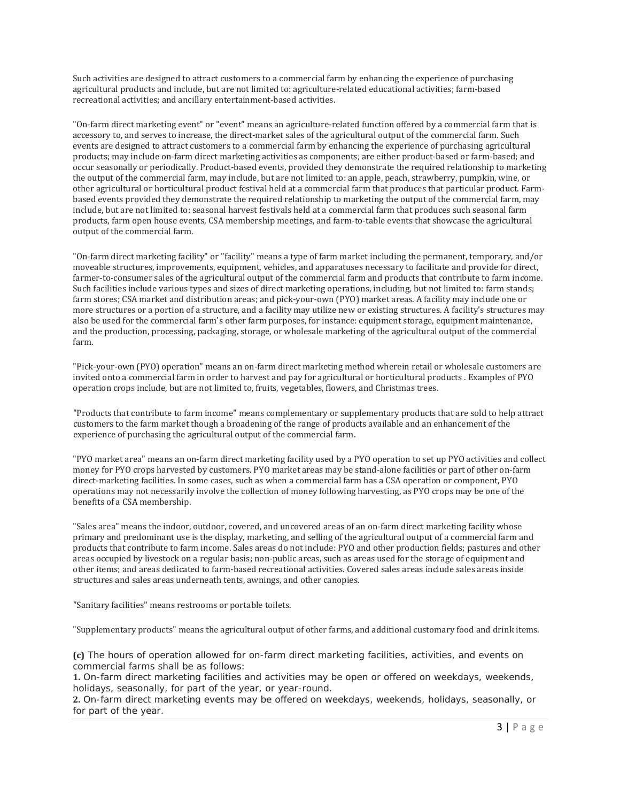Such activities are designed to attract customers to a commercial farm by enhancing the experience of purchasing agricultural products and include, but are not limited to: agriculture-related educational activities; farm-based recreational activities; and ancillary entertainment-based activities.

"On-farm direct marketing event" or "event" means an agriculture-related function offered by a commercial farm that is accessory to, and serves to increase, the direct-market sales of the agricultural output of the commercial farm. Such events are designed to attract customers to a commercial farm by enhancing the experience of purchasing agricultural products; may include on-farm direct marketing activities as components; are either product-based or farm-based; and occur seasonally or periodically. Product-based events, provided they demonstrate the required relationship to marketing the output of the commercial farm, may include, but are not limited to: an apple, peach, strawberry, pumpkin, wine, or other agricultural or horticultural product festival held at a commercial farm that produces that particular product. Farmbased events provided they demonstrate the required relationship to marketing the output of the commercial farm, may include, but are not limited to: seasonal harvest festivals held at a commercial farm that produces such seasonal farm products, farm open house events, CSA membership meetings, and farm-to-table events that showcase the agricultural output of the commercial farm.

"On-farm direct marketing facility" or "facility" means a type of farm market including the permanent, temporary, and/or moveable structures, improvements, equipment, vehicles, and apparatuses necessary to facilitate and provide for direct, farmer-to-consumer sales of the agricultural output of the commercial farm and products that contribute to farm income. Such facilities include various types and sizes of direct marketing operations, including, but not limited to: farm stands; farm stores; CSA market and distribution areas; and pick-your-own (PYO) market areas. A facility may include one or more structures or a portion of a structure, and a facility may utilize new or existing structures. A facility's structures may also be used for the commercial farm's other farm purposes, for instance: equipment storage, equipment maintenance, and the production, processing, packaging, storage, or wholesale marketing of the agricultural output of the commercial farm.

"Pick-your-own (PYO) operation" means an on-farm direct marketing method wherein retail or wholesale customers are invited onto a commercial farm in order to harvest and pay for agricultural or horticultural products . Examples of PYO operation crops include, but are not limited to, fruits, vegetables, flowers, and Christmas trees.

"Products that contribute to farm income" means complementary or supplementary products that are sold to help attract customers to the farm market though a broadening of the range of products available and an enhancement of the experience of purchasing the agricultural output of the commercial farm.

"PYO market area" means an on-farm direct marketing facility used by a PYO operation to set up PYO activities and collect money for PYO crops harvested by customers. PYO market areas may be stand-alone facilities or part of other on-farm direct-marketing facilities. In some cases, such as when a commercial farm has a CSA operation or component, PYO operations may not necessarily involve the collection of money following harvesting, as PYO crops may be one of the benefits of a CSA membership.

"Sales area" means the indoor, outdoor, covered, and uncovered areas of an on-farm direct marketing facility whose primary and predominant use is the display, marketing, and selling of the agricultural output of a commercial farm and products that contribute to farm income. Sales areas do not include: PYO and other production fields; pastures and other areas occupied by livestock on a regular basis; non-public areas, such as areas used for the storage of equipment and other items; and areas dedicated to farm-based recreational activities. Covered sales areas include sales areas inside structures and sales areas underneath tents, awnings, and other canopies.

"Sanitary facilities" means restrooms or portable toilets.

"Supplementary products" means the agricultural output of other farms, and additional customary food and drink items.

**(c)** The hours of operation allowed for on-farm direct marketing facilities, activities, and events on commercial farms shall be as follows:

**1.** On-farm direct marketing facilities and activities may be open or offered on weekdays, weekends, holidays, seasonally, for part of the year, or year-round.

**2.** On-farm direct marketing events may be offered on weekdays, weekends, holidays, seasonally, or for part of the year.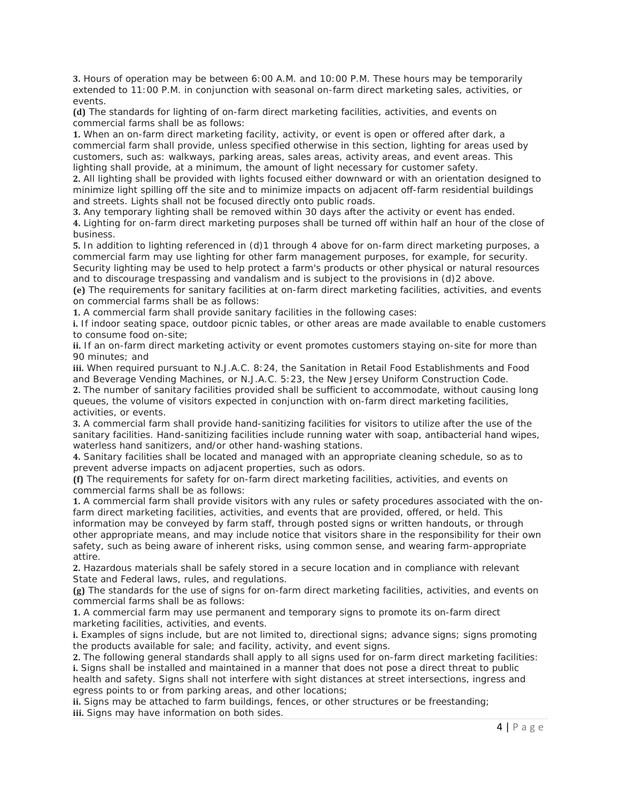**3.** Hours of operation may be between 6:00 A.M. and 10:00 P.M. These hours may be temporarily extended to 11:00 P.M. in conjunction with seasonal on-farm direct marketing sales, activities, or events.

**(d)** The standards for lighting of on-farm direct marketing facilities, activities, and events on commercial farms shall be as follows:

**1.** When an on-farm direct marketing facility, activity, or event is open or offered after dark, a commercial farm shall provide, unless specified otherwise in this section, lighting for areas used by customers, such as: walkways, parking areas, sales areas, activity areas, and event areas. This lighting shall provide, at a minimum, the amount of light necessary for customer safety.

**2.** All lighting shall be provided with lights focused either downward or with an orientation designed to minimize light spilling off the site and to minimize impacts on adjacent off-farm residential buildings and streets. Lights shall not be focused directly onto public roads.

**3.** Any temporary lighting shall be removed within 30 days after the activity or event has ended. **4.** Lighting for on-farm direct marketing purposes shall be turned off within half an hour of the close of business.

**5.** In addition to lighting referenced in (d)1 through 4 above for on-farm direct marketing purposes, a commercial farm may use lighting for other farm management purposes, for example, for security. Security lighting may be used to help protect a farm's products or other physical or natural resources and to discourage trespassing and vandalism and is subject to the provisions in (d)2 above.

**(e)** The requirements for sanitary facilities at on-farm direct marketing facilities, activities, and events on commercial farms shall be as follows:

**1.** A commercial farm shall provide sanitary facilities in the following cases:

**i.** If indoor seating space, outdoor picnic tables, or other areas are made available to enable customers to consume food on-site;

**ii.** If an on-farm direct marketing activity or event promotes customers staying on-site for more than 90 minutes; and

**iii.** When required pursuant to N.J.A.C. 8:24, the Sanitation in Retail Food Establishments and Food and Beverage Vending Machines, or N.J.A.C. 5:23, the New Jersey Uniform Construction Code.

**2.** The number of sanitary facilities provided shall be sufficient to accommodate, without causing long queues, the volume of visitors expected in conjunction with on-farm direct marketing facilities, activities, or events.

**3.** A commercial farm shall provide hand-sanitizing facilities for visitors to utilize after the use of the sanitary facilities. Hand-sanitizing facilities include running water with soap, antibacterial hand wipes, waterless hand sanitizers, and/or other hand-washing stations.

**4.** Sanitary facilities shall be located and managed with an appropriate cleaning schedule, so as to prevent adverse impacts on adjacent properties, such as odors.

**(f)** The requirements for safety for on-farm direct marketing facilities, activities, and events on commercial farms shall be as follows:

**1.** A commercial farm shall provide visitors with any rules or safety procedures associated with the onfarm direct marketing facilities, activities, and events that are provided, offered, or held. This information may be conveyed by farm staff, through posted signs or written handouts, or through other appropriate means, and may include notice that visitors share in the responsibility for their own safety, such as being aware of inherent risks, using common sense, and wearing farm-appropriate attire.

**2.** Hazardous materials shall be safely stored in a secure location and in compliance with relevant State and Federal laws, rules, and regulations.

**(g)** The standards for the use of signs for on-farm direct marketing facilities, activities, and events on commercial farms shall be as follows:

**1.** A commercial farm may use permanent and temporary signs to promote its on-farm direct marketing facilities, activities, and events.

**i.** Examples of signs include, but are not limited to, directional signs; advance signs; signs promoting the products available for sale; and facility, activity, and event signs.

**2.** The following general standards shall apply to all signs used for on-farm direct marketing facilities: **i.** Signs shall be installed and maintained in a manner that does not pose a direct threat to public health and safety. Signs shall not interfere with sight distances at street intersections, ingress and egress points to or from parking areas, and other locations;

**ii.** Signs may be attached to farm buildings, fences, or other structures or be freestanding; **iii.** Signs may have information on both sides.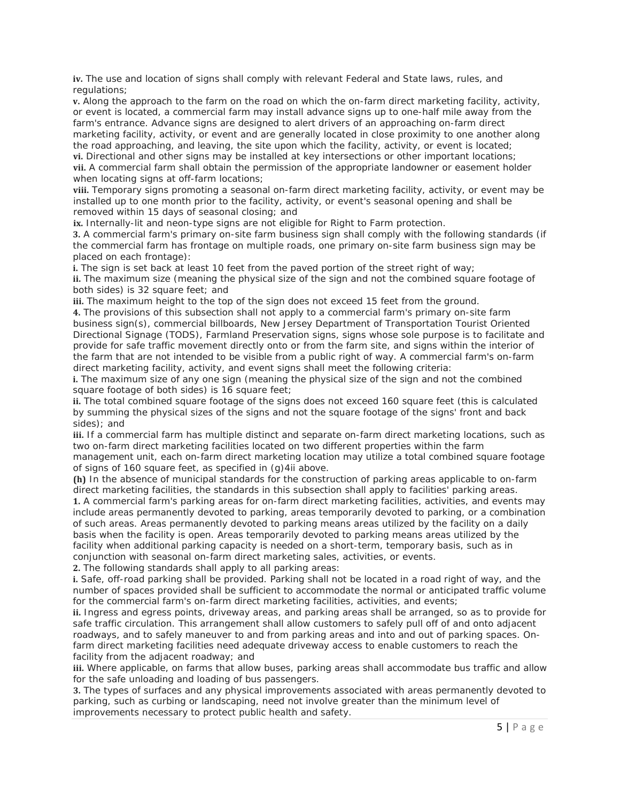**iv.** The use and location of signs shall comply with relevant Federal and State laws, rules, and regulations;

**v.** Along the approach to the farm on the road on which the on-farm direct marketing facility, activity, or event is located, a commercial farm may install advance signs up to one-half mile away from the farm's entrance. Advance signs are designed to alert drivers of an approaching on-farm direct marketing facility, activity, or event and are generally located in close proximity to one another along the road approaching, and leaving, the site upon which the facility, activity, or event is located; **vi.** Directional and other signs may be installed at key intersections or other important locations; **vii.** A commercial farm shall obtain the permission of the appropriate landowner or easement holder when locating signs at off-farm locations;

**viii.** Temporary signs promoting a seasonal on-farm direct marketing facility, activity, or event may be installed up to one month prior to the facility, activity, or event's seasonal opening and shall be removed within 15 days of seasonal closing; and

**ix.** Internally-lit and neon-type signs are not eligible for Right to Farm protection.

**3.** A commercial farm's primary on-site farm business sign shall comply with the following standards (if the commercial farm has frontage on multiple roads, one primary on-site farm business sign may be placed on each frontage):

**i.** The sign is set back at least 10 feet from the paved portion of the street right of way;

**ii.** The maximum size (meaning the physical size of the sign and not the combined square footage of both sides) is 32 square feet; and

**iii.** The maximum height to the top of the sign does not exceed 15 feet from the ground. **4.** The provisions of this subsection shall not apply to a commercial farm's primary on-site farm business sign(s), commercial billboards, New Jersey Department of Transportation Tourist Oriented Directional Signage (TODS), Farmland Preservation signs, signs whose sole purpose is to facilitate and provide for safe traffic movement directly onto or from the farm site, and signs within the interior of the farm that are not intended to be visible from a public right of way. A commercial farm's on-farm direct marketing facility, activity, and event signs shall meet the following criteria:

**i.** The maximum size of any one sign (meaning the physical size of the sign and not the combined square footage of both sides) is 16 square feet;

**ii.** The total combined square footage of the signs does not exceed 160 square feet (this is calculated by summing the physical sizes of the signs and not the square footage of the signs' front and back sides); and

**iii.** If a commercial farm has multiple distinct and separate on-farm direct marketing locations, such as two on-farm direct marketing facilities located on two different properties within the farm

management unit, each on-farm direct marketing location may utilize a total combined square footage of signs of 160 square feet, as specified in (g)4ii above.

**(h)** In the absence of municipal standards for the construction of parking areas applicable to on-farm direct marketing facilities, the standards in this subsection shall apply to facilities' parking areas. **1.** A commercial farm's parking areas for on-farm direct marketing facilities, activities, and events may include areas permanently devoted to parking, areas temporarily devoted to parking, or a combination of such areas. Areas permanently devoted to parking means areas utilized by the facility on a daily basis when the facility is open. Areas temporarily devoted to parking means areas utilized by the facility when additional parking capacity is needed on a short-term, temporary basis, such as in conjunction with seasonal on-farm direct marketing sales, activities, or events.

**2.** The following standards shall apply to all parking areas:

**i.** Safe, off-road parking shall be provided. Parking shall not be located in a road right of way, and the number of spaces provided shall be sufficient to accommodate the normal or anticipated traffic volume for the commercial farm's on-farm direct marketing facilities, activities, and events;

**ii.** Ingress and egress points, driveway areas, and parking areas shall be arranged, so as to provide for safe traffic circulation. This arrangement shall allow customers to safely pull off of and onto adjacent roadways, and to safely maneuver to and from parking areas and into and out of parking spaces. Onfarm direct marketing facilities need adequate driveway access to enable customers to reach the facility from the adjacent roadway; and

iii. Where applicable, on farms that allow buses, parking areas shall accommodate bus traffic and allow for the safe unloading and loading of bus passengers.

**3.** The types of surfaces and any physical improvements associated with areas permanently devoted to parking, such as curbing or landscaping, need not involve greater than the minimum level of improvements necessary to protect public health and safety.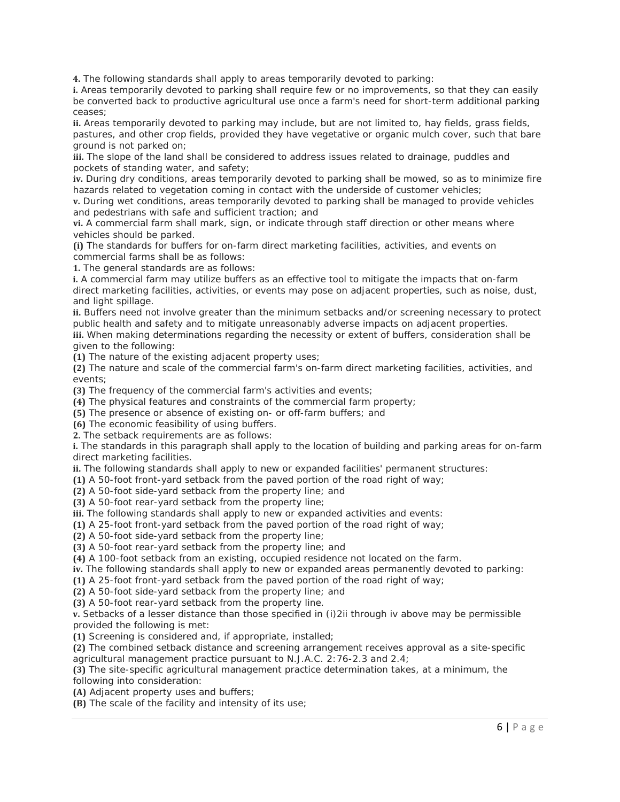**4.** The following standards shall apply to areas temporarily devoted to parking:

**i.** Areas temporarily devoted to parking shall require few or no improvements, so that they can easily be converted back to productive agricultural use once a farm's need for short-term additional parking ceases;

**ii.** Areas temporarily devoted to parking may include, but are not limited to, hay fields, grass fields, pastures, and other crop fields, provided they have vegetative or organic mulch cover, such that bare ground is not parked on;

**iii.** The slope of the land shall be considered to address issues related to drainage, puddles and pockets of standing water, and safety;

**iv.** During dry conditions, areas temporarily devoted to parking shall be mowed, so as to minimize fire hazards related to vegetation coming in contact with the underside of customer vehicles;

**v.** During wet conditions, areas temporarily devoted to parking shall be managed to provide vehicles and pedestrians with safe and sufficient traction; and

**vi.** A commercial farm shall mark, sign, or indicate through staff direction or other means where vehicles should be parked.

**(i)** The standards for buffers for on-farm direct marketing facilities, activities, and events on commercial farms shall be as follows:

**1.** The general standards are as follows:

**i.** A commercial farm may utilize buffers as an effective tool to mitigate the impacts that on-farm direct marketing facilities, activities, or events may pose on adjacent properties, such as noise, dust, and light spillage.

**ii.** Buffers need not involve greater than the minimum setbacks and/or screening necessary to protect public health and safety and to mitigate unreasonably adverse impacts on adjacent properties.

**iii.** When making determinations regarding the necessity or extent of buffers, consideration shall be given to the following:

**(1)** The nature of the existing adjacent property uses;

**(2)** The nature and scale of the commercial farm's on-farm direct marketing facilities, activities, and events;

**(3)** The frequency of the commercial farm's activities and events;

**(4)** The physical features and constraints of the commercial farm property;

**(5)** The presence or absence of existing on- or off-farm buffers; and

**(6)** The economic feasibility of using buffers.

**2.** The setback requirements are as follows:

**i.** The standards in this paragraph shall apply to the location of building and parking areas for on-farm direct marketing facilities.

**ii.** The following standards shall apply to new or expanded facilities' permanent structures:

**(1)** A 50-foot front-yard setback from the paved portion of the road right of way;

**(2)** A 50-foot side-yard setback from the property line; and

**(3)** A 50-foot rear-yard setback from the property line;

**iii.** The following standards shall apply to new or expanded activities and events:

**(1)** A 25-foot front-yard setback from the paved portion of the road right of way;

**(2)** A 50-foot side-yard setback from the property line;

**(3)** A 50-foot rear-yard setback from the property line; and

**(4)** A 100-foot setback from an existing, occupied residence not located on the farm.

**iv.** The following standards shall apply to new or expanded areas permanently devoted to parking:

**(1)** A 25-foot front-yard setback from the paved portion of the road right of way;

**(2)** A 50-foot side-yard setback from the property line; and

**(3)** A 50-foot rear-yard setback from the property line.

**v.** Setbacks of a lesser distance than those specified in (i)2ii through iv above may be permissible provided the following is met:

**(1)** Screening is considered and, if appropriate, installed;

**(2)** The combined setback distance and screening arrangement receives approval as a site-specific agricultural management practice pursuant to N.J.A.C. 2:76-2.3 and 2.4;

**(3)** The site-specific agricultural management practice determination takes, at a minimum, the following into consideration:

**(A)** Adjacent property uses and buffers;

**(B)** The scale of the facility and intensity of its use;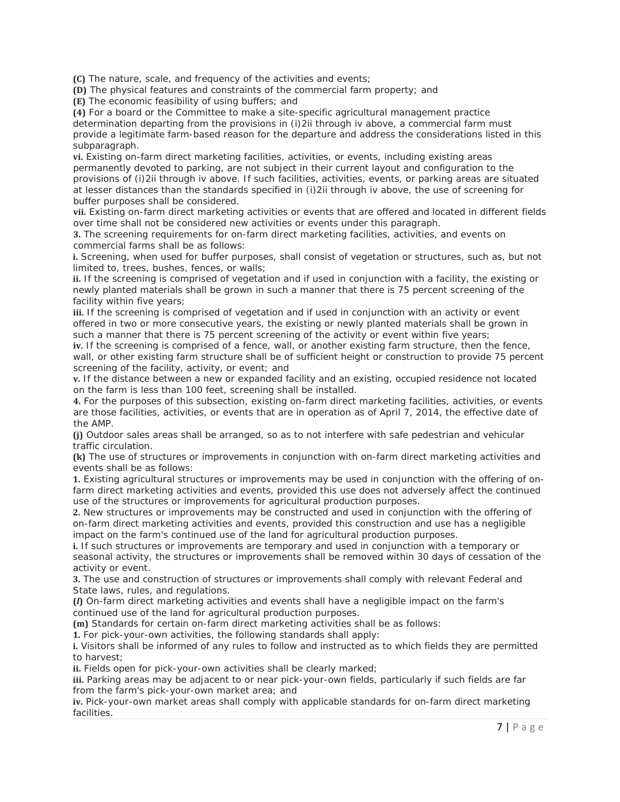**(C)** The nature, scale, and frequency of the activities and events;

**(D)** The physical features and constraints of the commercial farm property; and

**(E)** The economic feasibility of using buffers; and

**(4)** For a board or the Committee to make a site-specific agricultural management practice determination departing from the provisions in (i)2ii through iv above, a commercial farm must provide a legitimate farm-based reason for the departure and address the considerations listed in this subparagraph.

**vi.** Existing on-farm direct marketing facilities, activities, or events, including existing areas permanently devoted to parking, are not subject in their current layout and configuration to the provisions of (i)2ii through iv above. If such facilities, activities, events, or parking areas are situated at lesser distances than the standards specified in (i)2ii through iv above, the use of screening for buffer purposes shall be considered.

**vii.** Existing on-farm direct marketing activities or events that are offered and located in different fields over time shall not be considered new activities or events under this paragraph.

**3.** The screening requirements for on-farm direct marketing facilities, activities, and events on commercial farms shall be as follows:

**i.** Screening, when used for buffer purposes, shall consist of vegetation or structures, such as, but not limited to, trees, bushes, fences, or walls;

**ii.** If the screening is comprised of vegetation and if used in conjunction with a facility, the existing or newly planted materials shall be grown in such a manner that there is 75 percent screening of the facility within five years;

**iii.** If the screening is comprised of vegetation and if used in conjunction with an activity or event offered in two or more consecutive years, the existing or newly planted materials shall be grown in such a manner that there is 75 percent screening of the activity or event within five years;

**iv.** If the screening is comprised of a fence, wall, or another existing farm structure, then the fence, wall, or other existing farm structure shall be of sufficient height or construction to provide 75 percent screening of the facility, activity, or event; and

**v.** If the distance between a new or expanded facility and an existing, occupied residence not located on the farm is less than 100 feet, screening shall be installed.

**4.** For the purposes of this subsection, existing on-farm direct marketing facilities, activities, or events are those facilities, activities, or events that are in operation as of April 7, 2014, the effective date of the AMP.

**(j)** Outdoor sales areas shall be arranged, so as to not interfere with safe pedestrian and vehicular traffic circulation.

**(k)** The use of structures or improvements in conjunction with on-farm direct marketing activities and events shall be as follows:

**1.** Existing agricultural structures or improvements may be used in conjunction with the offering of onfarm direct marketing activities and events, provided this use does not adversely affect the continued use of the structures or improvements for agricultural production purposes.

**2.** New structures or improvements may be constructed and used in conjunction with the offering of on-farm direct marketing activities and events, provided this construction and use has a negligible impact on the farm's continued use of the land for agricultural production purposes.

**i.** If such structures or improvements are temporary and used in conjunction with a temporary or seasonal activity, the structures or improvements shall be removed within 30 days of cessation of the activity or event.

**3.** The use and construction of structures or improvements shall comply with relevant Federal and State laws, rules, and regulations.

**(***l***)** On-farm direct marketing activities and events shall have a negligible impact on the farm's continued use of the land for agricultural production purposes.

**(m)** Standards for certain on-farm direct marketing activities shall be as follows:

**1.** For pick-your-own activities, the following standards shall apply:

**i.** Visitors shall be informed of any rules to follow and instructed as to which fields they are permitted to harvest;

**ii.** Fields open for pick-your-own activities shall be clearly marked;

**iii.** Parking areas may be adjacent to or near pick-your-own fields, particularly if such fields are far from the farm's pick-your-own market area; and

**iv.** Pick-your-own market areas shall comply with applicable standards for on-farm direct marketing facilities.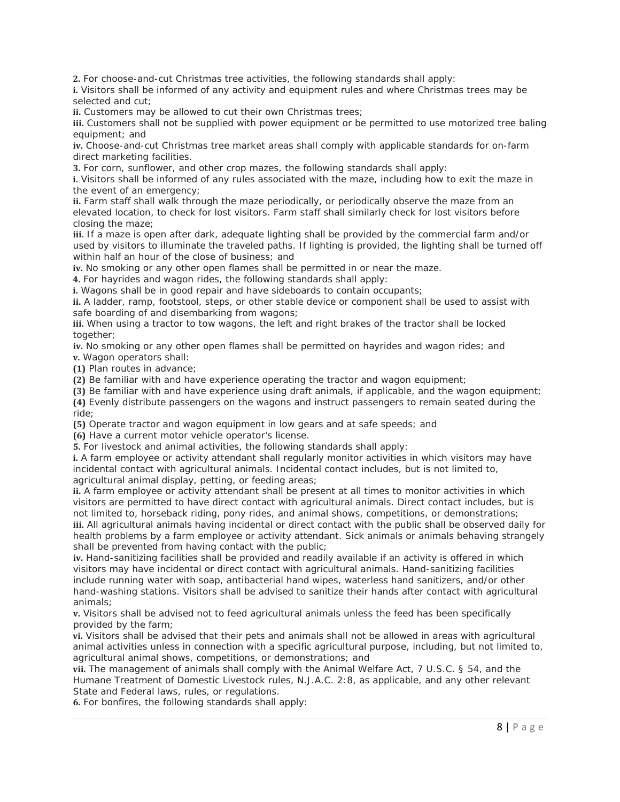**2.** For choose-and-cut Christmas tree activities, the following standards shall apply:

**i.** Visitors shall be informed of any activity and equipment rules and where Christmas trees may be selected and cut;

**ii.** Customers may be allowed to cut their own Christmas trees;

**iii.** Customers shall not be supplied with power equipment or be permitted to use motorized tree baling equipment; and

**iv.** Choose-and-cut Christmas tree market areas shall comply with applicable standards for on-farm direct marketing facilities.

**3.** For corn, sunflower, and other crop mazes, the following standards shall apply:

**i.** Visitors shall be informed of any rules associated with the maze, including how to exit the maze in the event of an emergency;

ii. Farm staff shall walk through the maze periodically, or periodically observe the maze from an elevated location, to check for lost visitors. Farm staff shall similarly check for lost visitors before closing the maze;

**iii.** If a maze is open after dark, adequate lighting shall be provided by the commercial farm and/or used by visitors to illuminate the traveled paths. If lighting is provided, the lighting shall be turned off within half an hour of the close of business; and

**iv.** No smoking or any other open flames shall be permitted in or near the maze.

**4.** For hayrides and wagon rides, the following standards shall apply:

**i.** Wagons shall be in good repair and have sideboards to contain occupants;

**ii.** A ladder, ramp, footstool, steps, or other stable device or component shall be used to assist with safe boarding of and disembarking from wagons;

**iii.** When using a tractor to tow wagons, the left and right brakes of the tractor shall be locked together;

**iv.** No smoking or any other open flames shall be permitted on hayrides and wagon rides; and **v.** Wagon operators shall:

**(1)** Plan routes in advance;

**(2)** Be familiar with and have experience operating the tractor and wagon equipment;

**(3)** Be familiar with and have experience using draft animals, if applicable, and the wagon equipment; **(4)** Evenly distribute passengers on the wagons and instruct passengers to remain seated during the

ride;

**(5)** Operate tractor and wagon equipment in low gears and at safe speeds; and

**(6)** Have a current motor vehicle operator's license.

**5.** For livestock and animal activities, the following standards shall apply:

**i.** A farm employee or activity attendant shall regularly monitor activities in which visitors may have incidental contact with agricultural animals. Incidental contact includes, but is not limited to, agricultural animal display, petting, or feeding areas;

**ii.** A farm employee or activity attendant shall be present at all times to monitor activities in which visitors are permitted to have direct contact with agricultural animals. Direct contact includes, but is not limited to, horseback riding, pony rides, and animal shows, competitions, or demonstrations; **iii.** All agricultural animals having incidental or direct contact with the public shall be observed daily for health problems by a farm employee or activity attendant. Sick animals or animals behaving strangely shall be prevented from having contact with the public;

**iv.** Hand-sanitizing facilities shall be provided and readily available if an activity is offered in which visitors may have incidental or direct contact with agricultural animals. Hand-sanitizing facilities include running water with soap, antibacterial hand wipes, waterless hand sanitizers, and/or other hand-washing stations. Visitors shall be advised to sanitize their hands after contact with agricultural animals;

**v.** Visitors shall be advised not to feed agricultural animals unless the feed has been specifically provided by the farm;

**vi.** Visitors shall be advised that their pets and animals shall not be allowed in areas with agricultural animal activities unless in connection with a specific agricultural purpose, including, but not limited to, agricultural animal shows, competitions, or demonstrations; and

**vii.** The management of animals shall comply with the Animal Welfare Act, 7 U.S.C. § 54, and the Humane Treatment of Domestic Livestock rules, N.J.A.C. 2:8, as applicable, and any other relevant State and Federal laws, rules, or regulations.

**6.** For bonfires, the following standards shall apply: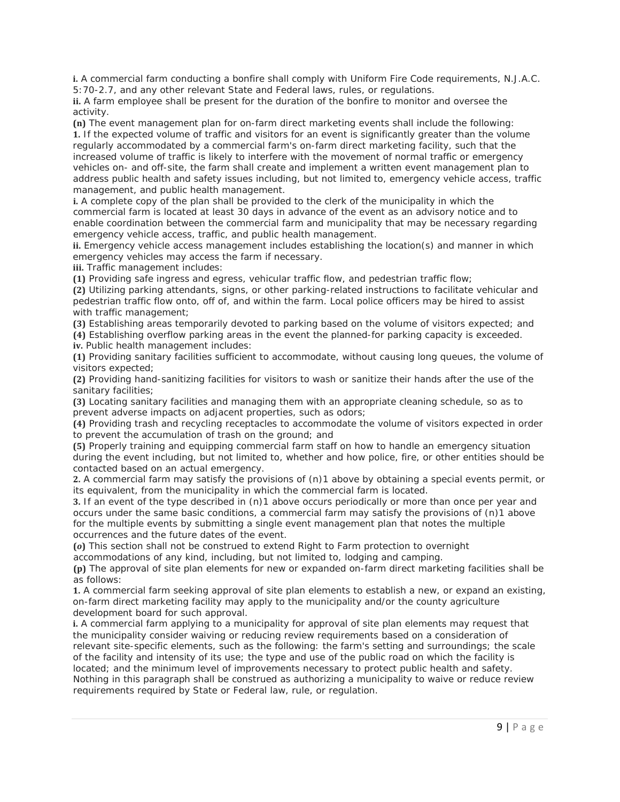**i.** A commercial farm conducting a bonfire shall comply with Uniform Fire Code requirements, N.J.A.C. 5:70-2.7, and any other relevant State and Federal laws, rules, or regulations.

**ii.** A farm employee shall be present for the duration of the bonfire to monitor and oversee the activity.

**(n)** The event management plan for on-farm direct marketing events shall include the following: **1.** If the expected volume of traffic and visitors for an event is significantly greater than the volume regularly accommodated by a commercial farm's on-farm direct marketing facility, such that the increased volume of traffic is likely to interfere with the movement of normal traffic or emergency vehicles on- and off-site, the farm shall create and implement a written event management plan to address public health and safety issues including, but not limited to, emergency vehicle access, traffic management, and public health management.

**i.** A complete copy of the plan shall be provided to the clerk of the municipality in which the commercial farm is located at least 30 days in advance of the event as an advisory notice and to enable coordination between the commercial farm and municipality that may be necessary regarding emergency vehicle access, traffic, and public health management.

**ii.** Emergency vehicle access management includes establishing the location(s) and manner in which emergency vehicles may access the farm if necessary.

**iii.** Traffic management includes:

**(1)** Providing safe ingress and egress, vehicular traffic flow, and pedestrian traffic flow;

**(2)** Utilizing parking attendants, signs, or other parking-related instructions to facilitate vehicular and pedestrian traffic flow onto, off of, and within the farm. Local police officers may be hired to assist with traffic management;

**(3)** Establishing areas temporarily devoted to parking based on the volume of visitors expected; and **(4)** Establishing overflow parking areas in the event the planned-for parking capacity is exceeded.

**iv.** Public health management includes:

**(1)** Providing sanitary facilities sufficient to accommodate, without causing long queues, the volume of visitors expected;

**(2)** Providing hand-sanitizing facilities for visitors to wash or sanitize their hands after the use of the sanitary facilities;

**(3)** Locating sanitary facilities and managing them with an appropriate cleaning schedule, so as to prevent adverse impacts on adjacent properties, such as odors;

**(4)** Providing trash and recycling receptacles to accommodate the volume of visitors expected in order to prevent the accumulation of trash on the ground; and

**(5)** Properly training and equipping commercial farm staff on how to handle an emergency situation during the event including, but not limited to, whether and how police, fire, or other entities should be contacted based on an actual emergency.

**2.** A commercial farm may satisfy the provisions of (n)1 above by obtaining a special events permit, or its equivalent, from the municipality in which the commercial farm is located.

**3.** If an event of the type described in (n)1 above occurs periodically or more than once per year and occurs under the same basic conditions, a commercial farm may satisfy the provisions of (n)1 above for the multiple events by submitting a single event management plan that notes the multiple occurrences and the future dates of the event.

**(***o***)** This section shall not be construed to extend Right to Farm protection to overnight

accommodations of any kind, including, but not limited to, lodging and camping.

**(p)** The approval of site plan elements for new or expanded on-farm direct marketing facilities shall be as follows:

**1.** A commercial farm seeking approval of site plan elements to establish a new, or expand an existing, on-farm direct marketing facility may apply to the municipality and/or the county agriculture development board for such approval.

**i.** A commercial farm applying to a municipality for approval of site plan elements may request that the municipality consider waiving or reducing review requirements based on a consideration of relevant site-specific elements, such as the following: the farm's setting and surroundings; the scale of the facility and intensity of its use; the type and use of the public road on which the facility is located; and the minimum level of improvements necessary to protect public health and safety. Nothing in this paragraph shall be construed as authorizing a municipality to waive or reduce review requirements required by State or Federal law, rule, or regulation.